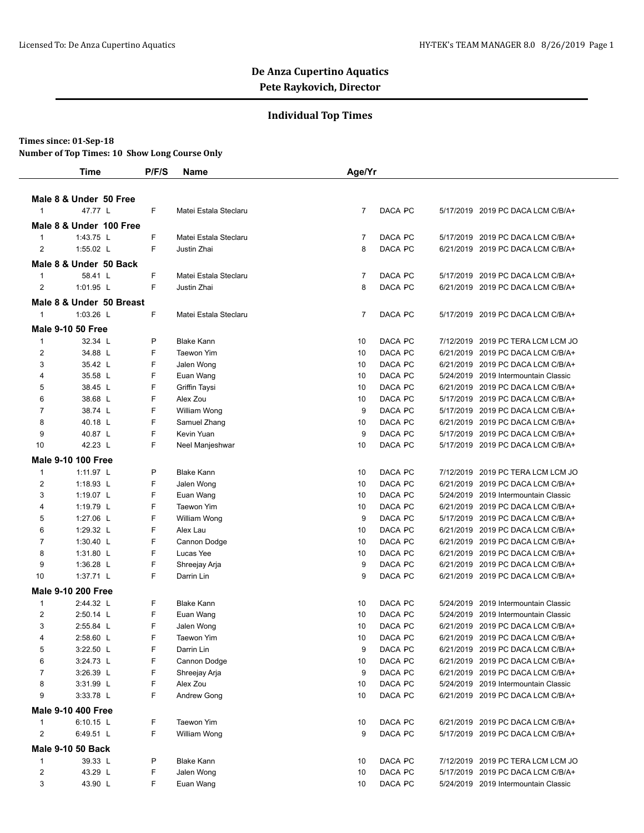#### **Individual Top Times**

#### **Times since: 01-Sep-18**

|                | <b>Time</b>               | P/F/S | Name                  | Age/Yr          |         |                                      |  |
|----------------|---------------------------|-------|-----------------------|-----------------|---------|--------------------------------------|--|
|                |                           |       |                       |                 |         |                                      |  |
|                | Male 8 & Under 50 Free    |       |                       |                 |         |                                      |  |
| $\mathbf 1$    | 47.77 L                   | F     | Matei Estala Steclaru | 7               | DACA PC | 5/17/2019 2019 PC DACA LCM C/B/A+    |  |
|                | Male 8 & Under 100 Free   |       |                       |                 |         |                                      |  |
| $\mathbf{1}$   | 1:43.75 L                 | F     | Matei Estala Steclaru | 7               | DACA PC | 5/17/2019 2019 PC DACA LCM C/B/A+    |  |
| 2              | 1:55.02 L                 | F     | Justin Zhai           | 8               | DACA PC | 6/21/2019 2019 PC DACA LCM C/B/A+    |  |
|                |                           |       |                       |                 |         |                                      |  |
|                | Male 8 & Under 50 Back    |       |                       |                 |         |                                      |  |
| 1              | 58.41 L                   | F     | Matei Estala Steclaru | 7               | DACA PC | 5/17/2019 2019 PC DACA LCM C/B/A+    |  |
| 2              | 1:01.95 L                 | F     | Justin Zhai           | 8               | DACA PC | 6/21/2019 2019 PC DACA LCM C/B/A+    |  |
|                | Male 8 & Under 50 Breast  |       |                       |                 |         |                                      |  |
| $\mathbf{1}$   | 1:03.26 L                 | F     | Matei Estala Steclaru | 7               | DACA PC | 5/17/2019 2019 PC DACA LCM C/B/A+    |  |
|                | <b>Male 9-10 50 Free</b>  |       |                       |                 |         |                                      |  |
| 1              | 32.34 L                   | P     | <b>Blake Kann</b>     | 10              | DACA PC | 7/12/2019 2019 PC TERA LCM LCM JO    |  |
| $\overline{2}$ | 34.88 L                   | F     | <b>Taewon Yim</b>     | 10              | DACA PC | 6/21/2019 2019 PC DACA LCM C/B/A+    |  |
| 3              | 35.42 L                   | F     | Jalen Wong            | 10              | DACA PC | 6/21/2019 2019 PC DACA LCM C/B/A+    |  |
| 4              | 35.58 L                   | F     | Euan Wang             | 10              | DACA PC | 5/24/2019 2019 Intermountain Classic |  |
| 5              | 38.45 L                   | F     | Griffin Taysi         | 10              | DACA PC | 6/21/2019 2019 PC DACA LCM C/B/A+    |  |
| 6              | 38.68 L                   | F     | Alex Zou              | 10              | DACA PC | 5/17/2019 2019 PC DACA LCM C/B/A+    |  |
| $\overline{7}$ | 38.74 L                   | F     | William Wong          | 9               | DACA PC | 5/17/2019 2019 PC DACA LCM C/B/A+    |  |
| 8              | 40.18 L                   | F     | Samuel Zhang          | 10              | DACA PC | 6/21/2019 2019 PC DACA LCM C/B/A+    |  |
| 9              | 40.87 L                   | F     | Kevin Yuan            | 9               | DACA PC | 5/17/2019 2019 PC DACA LCM C/B/A+    |  |
| 10             | 42.23 L                   | F     | Neel Manjeshwar       | 10              | DACA PC | 5/17/2019 2019 PC DACA LCM C/B/A+    |  |
|                | <b>Male 9-10 100 Free</b> |       |                       |                 |         |                                      |  |
| 1              | 1:11.97 L                 | P     | <b>Blake Kann</b>     | 10              | DACA PC | 7/12/2019 2019 PC TERA LCM LCM JO    |  |
| $\overline{2}$ | 1:18.93 L                 | F     | Jalen Wong            | 10              | DACA PC | 6/21/2019 2019 PC DACA LCM C/B/A+    |  |
| 3              | 1:19.07 L                 | F     | Euan Wang             | 10              | DACA PC | 5/24/2019 2019 Intermountain Classic |  |
| 4              | 1:19.79 L                 | F     | <b>Taewon Yim</b>     | 10              | DACA PC | 6/21/2019 2019 PC DACA LCM C/B/A+    |  |
| 5              | 1:27.06 L                 | F     | William Wong          | 9               | DACA PC | 5/17/2019 2019 PC DACA LCM C/B/A+    |  |
| 6              | 1:29.32 L                 | F     | Alex Lau              | 10              | DACA PC | 6/21/2019 2019 PC DACA LCM C/B/A+    |  |
| 7              | 1:30.40 L                 | F     | Cannon Dodge          | 10              | DACA PC | 6/21/2019 2019 PC DACA LCM C/B/A+    |  |
| 8              | 1:31.80 L                 | F     | Lucas Yee             | 10              | DACA PC | 6/21/2019 2019 PC DACA LCM C/B/A+    |  |
| 9              | 1:36.28 L                 | F     | Shreejay Arja         | 9               | DACA PC | 6/21/2019 2019 PC DACA LCM C/B/A+    |  |
| 10             | 1:37.71 L                 | F     | Darrin Lin            | 9               | DACA PC | 6/21/2019 2019 PC DACA LCM C/B/A+    |  |
|                | <b>Male 9-10 200 Free</b> |       |                       |                 |         |                                      |  |
| $\mathbf{1}$   | 2:44.32 L                 | F     | <b>Blake Kann</b>     | 10              | DACA PC | 5/24/2019 2019 Intermountain Classic |  |
| $\overline{2}$ | 2:50.14 L                 | F     | Euan Wang             | 10              | DACA PC | 5/24/2019 2019 Intermountain Classic |  |
| 3              | 2:55.84 L                 | F     | Jalen Wong            | 10              | DACA PC | 6/21/2019 2019 PC DACA LCM C/B/A+    |  |
| 4              | 2:58.60 L                 | F     | Taewon Yim            | 10 <sup>°</sup> | DACA PC | 6/21/2019 2019 PC DACA LCM C/B/A+    |  |
| 5              | 3:22.50 L                 | F     | Darrin Lin            | 9               | DACA PC | 6/21/2019 2019 PC DACA LCM C/B/A+    |  |
| 6              | 3:24.73 L                 | F     | Cannon Dodge          | 10              | DACA PC | 6/21/2019 2019 PC DACA LCM C/B/A+    |  |
| 7              | 3:26.39 L                 | F     | Shreejay Arja         | 9               | DACA PC | 6/21/2019 2019 PC DACA LCM C/B/A+    |  |
| 8              | 3:31.99 L                 | F     | Alex Zou              | 10              | DACA PC | 5/24/2019 2019 Intermountain Classic |  |
| 9              | 3:33.78 L                 | F     | Andrew Gong           | 10              | DACA PC | 6/21/2019 2019 PC DACA LCM C/B/A+    |  |
|                | <b>Male 9-10 400 Free</b> |       |                       |                 |         |                                      |  |
| $\mathbf{1}$   | $6:10.15$ L               | F     | Taewon Yim            | 10              | DACA PC | 6/21/2019 2019 PC DACA LCM C/B/A+    |  |
| 2              | 6:49.51 L                 | F     | William Wong          | 9               | DACA PC | 5/17/2019 2019 PC DACA LCM C/B/A+    |  |
|                | <b>Male 9-10 50 Back</b>  |       |                       |                 |         |                                      |  |
| $\mathbf{1}$   | 39.33 L                   | P     | <b>Blake Kann</b>     | 10              | DACA PC | 7/12/2019 2019 PC TERA LCM LCM JO    |  |
| $\overline{c}$ | 43.29 L                   | F     | Jalen Wong            | 10              | DACA PC | 5/17/2019 2019 PC DACA LCM C/B/A+    |  |
| 3              | 43.90 L                   | F     | Euan Wang             | 10              | DACA PC | 5/24/2019 2019 Intermountain Classic |  |
|                |                           |       |                       |                 |         |                                      |  |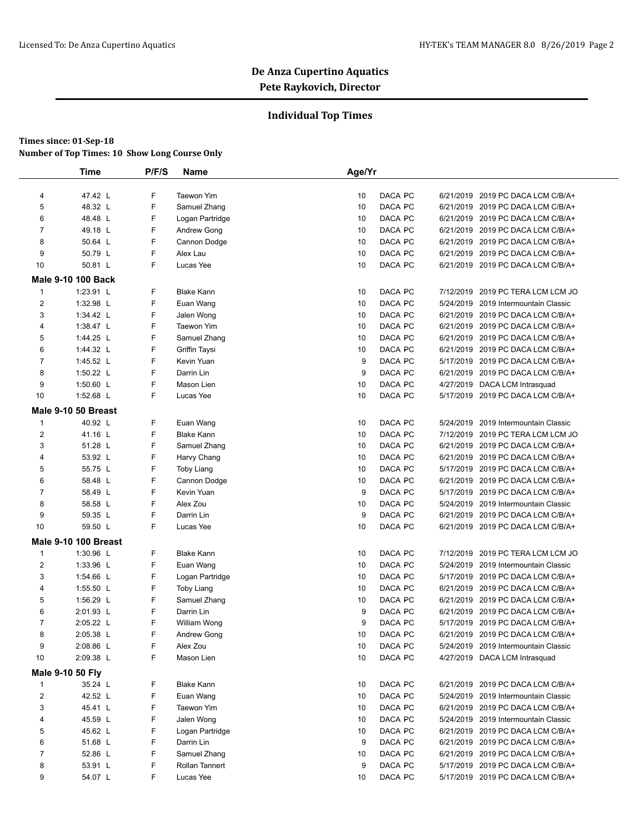### **Individual Top Times**

|                | <b>Time</b>                 | P/F/S | Name              | Age/Yr |         |           |                                      |  |
|----------------|-----------------------------|-------|-------------------|--------|---------|-----------|--------------------------------------|--|
|                |                             |       |                   |        |         |           |                                      |  |
| 4              | 47.42 L                     | F     | Taewon Yim        | 10     | DACA PC |           | 6/21/2019 2019 PC DACA LCM C/B/A+    |  |
| 5              | 48.32 L                     | F     | Samuel Zhang      | 10     | DACA PC |           | 6/21/2019 2019 PC DACA LCM C/B/A+    |  |
| 6              | 48.48 L                     | F     | Logan Partridge   | 10     | DACA PC |           | 6/21/2019 2019 PC DACA LCM C/B/A+    |  |
| $\overline{7}$ | 49.18 L                     | F     | Andrew Gong       | 10     | DACA PC |           | 6/21/2019 2019 PC DACA LCM C/B/A+    |  |
| 8              | 50.64 L                     | F     | Cannon Dodge      | 10     | DACA PC |           | 6/21/2019 2019 PC DACA LCM C/B/A+    |  |
| 9              | 50.79 L                     | F     | Alex Lau          | 10     | DACA PC |           | 6/21/2019 2019 PC DACA LCM C/B/A+    |  |
| 10             | 50.81 L                     | F     | Lucas Yee         | 10     | DACA PC |           | 6/21/2019 2019 PC DACA LCM C/B/A+    |  |
|                | <b>Male 9-10 100 Back</b>   |       |                   |        |         |           |                                      |  |
| 1              | 1:23.91 L                   | F     | <b>Blake Kann</b> | 10     | DACA PC |           | 7/12/2019 2019 PC TERA LCM LCM JO    |  |
| $\overline{2}$ | 1:32.98 L                   | F     | Euan Wang         | 10     | DACA PC |           | 5/24/2019 2019 Intermountain Classic |  |
| 3              | 1:34.42 L                   | F     | Jalen Wong        | 10     | DACA PC |           | 6/21/2019 2019 PC DACA LCM C/B/A+    |  |
| 4              | 1:38.47 L                   | F     | Taewon Yim        | 10     | DACA PC |           | 6/21/2019 2019 PC DACA LCM C/B/A+    |  |
| 5              | 1:44.25 L                   | F     | Samuel Zhang      | 10     | DACA PC |           | 6/21/2019 2019 PC DACA LCM C/B/A+    |  |
| 6              | 1:44.32 L                   | F     | Griffin Taysi     | 10     | DACA PC |           | 6/21/2019 2019 PC DACA LCM C/B/A+    |  |
| $\overline{7}$ | 1:45.52 L                   | F     | Kevin Yuan        | 9      | DACA PC |           | 5/17/2019 2019 PC DACA LCM C/B/A+    |  |
| 8              | 1:50.22 L                   | F     | Darrin Lin        | 9      | DACA PC |           | 6/21/2019 2019 PC DACA LCM C/B/A+    |  |
| 9              | 1:50.60 L                   | F     | Mason Lien        | 10     | DACA PC |           | 4/27/2019 DACA LCM Intrasquad        |  |
| 10             | 1:52.68 L                   | F     | Lucas Yee         | 10     | DACA PC |           | 5/17/2019 2019 PC DACA LCM C/B/A+    |  |
|                | Male 9-10 50 Breast         |       |                   |        |         |           |                                      |  |
| $\mathbf{1}$   | 40.92 L                     | F     | Euan Wang         | 10     | DACA PC | 5/24/2019 | 2019 Intermountain Classic           |  |
| $\overline{2}$ | 41.16 L                     | F     | <b>Blake Kann</b> | 10     | DACA PC |           | 7/12/2019 2019 PC TERA LCM LCM JO    |  |
| 3              | 51.28 L                     | F     | Samuel Zhang      | 10     | DACA PC |           | 6/21/2019 2019 PC DACA LCM C/B/A+    |  |
| 4              | 53.92 L                     | F     | Harvy Chang       | 10     | DACA PC |           | 6/21/2019 2019 PC DACA LCM C/B/A+    |  |
| 5              | 55.75 L                     | F     | <b>Toby Liang</b> | 10     | DACA PC |           | 5/17/2019 2019 PC DACA LCM C/B/A+    |  |
| 6              | 58.48 L                     | F     | Cannon Dodge      | 10     | DACA PC |           | 6/21/2019 2019 PC DACA LCM C/B/A+    |  |
| $\overline{7}$ | 58.49 L                     | F     | Kevin Yuan        | 9      | DACA PC |           | 5/17/2019 2019 PC DACA LCM C/B/A+    |  |
| 8              | 58.58 L                     | F     | Alex Zou          | 10     | DACA PC |           | 5/24/2019 2019 Intermountain Classic |  |
| 9              | 59.35 L                     | F     | Darrin Lin        | 9      | DACA PC |           | 6/21/2019 2019 PC DACA LCM C/B/A+    |  |
| 10             | 59.50 L                     | F     | Lucas Yee         | 10     | DACA PC |           | 6/21/2019 2019 PC DACA LCM C/B/A+    |  |
|                | <b>Male 9-10 100 Breast</b> |       |                   |        |         |           |                                      |  |
| 1              | 1:30.96 L                   | F     | <b>Blake Kann</b> | 10     | DACA PC |           | 7/12/2019 2019 PC TERA LCM LCM JO    |  |
| 2              | 1:33.96 L                   | F     | Euan Wang         | 10     | DACA PC |           | 5/24/2019 2019 Intermountain Classic |  |
| 3              | 1:54.66 L                   | F     | Logan Partridge   | 10     | DACA PC |           | 5/17/2019 2019 PC DACA LCM C/B/A+    |  |
| 4              | 1:55.50 L                   | F     | <b>Toby Liang</b> | 10     | DACA PC |           | 6/21/2019 2019 PC DACA LCM C/B/A+    |  |
| 5              | 1:56.29 L                   | F     | Samuel Zhang      | 10     | DACA PC |           | 6/21/2019 2019 PC DACA LCM C/B/A+    |  |
| 6              | 2:01.93 L                   | F     | Darrin Lin        | 9      | DACA PC |           | 6/21/2019 2019 PC DACA LCM C/B/A+    |  |
| $\overline{7}$ | 2:05.22 L                   | F     | William Wong      | 9      | DACA PC |           | 5/17/2019 2019 PC DACA LCM C/B/A+    |  |
| 8              | 2:05.38 L                   | F     | Andrew Gong       | 10     | DACA PC |           | 6/21/2019 2019 PC DACA LCM C/B/A+    |  |
| 9              | 2:08.86 L                   | F     | Alex Zou          | 10     | DACA PC |           | 5/24/2019 2019 Intermountain Classic |  |
| 10             | 2:09.38 L                   | F     | Mason Lien        | 10     | DACA PC |           | 4/27/2019 DACA LCM Intrasquad        |  |
|                | Male 9-10 50 Fly            |       |                   |        |         |           |                                      |  |
| 1              | 35.24 L                     | F     | <b>Blake Kann</b> | 10     | DACA PC |           | 6/21/2019 2019 PC DACA LCM C/B/A+    |  |
| $\overline{c}$ | 42.52 L                     | F     | Euan Wang         | 10     | DACA PC |           | 5/24/2019 2019 Intermountain Classic |  |
| 3              | 45.41 L                     | F     | Taewon Yim        | 10     | DACA PC |           | 6/21/2019 2019 PC DACA LCM C/B/A+    |  |
| 4              | 45.59 L                     | F     | Jalen Wong        | 10     | DACA PC |           | 5/24/2019 2019 Intermountain Classic |  |
| 5              | 45.62 L                     | F     | Logan Partridge   | 10     | DACA PC |           | 6/21/2019 2019 PC DACA LCM C/B/A+    |  |
| 6              | 51.68 L                     | F     | Darrin Lin        | 9      | DACA PC |           | 6/21/2019 2019 PC DACA LCM C/B/A+    |  |
| 7              | 52.86 L                     | F     | Samuel Zhang      | 10     | DACA PC |           | 6/21/2019 2019 PC DACA LCM C/B/A+    |  |
| 8              | 53.91 L                     | F     | Rollan Tannert    | 9      | DACA PC |           | 5/17/2019 2019 PC DACA LCM C/B/A+    |  |
| 9              | 54.07 L                     | F.    | Lucas Yee         | 10     | DACA PC |           | 5/17/2019 2019 PC DACA LCM C/B/A+    |  |
|                |                             |       |                   |        |         |           |                                      |  |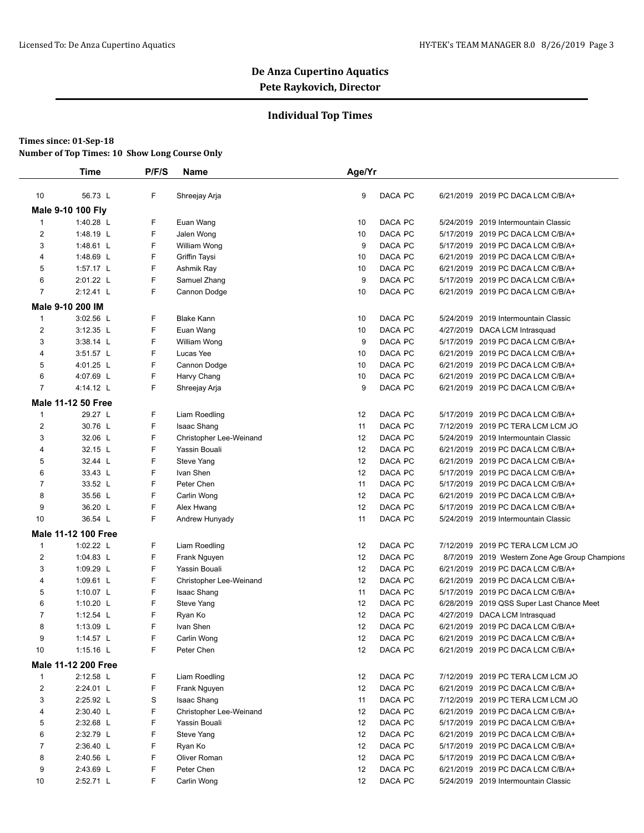### **Individual Top Times**

|                | <b>Time</b>                | P/F/S  | Name                    | Age/Yr        |                                                |
|----------------|----------------------------|--------|-------------------------|---------------|------------------------------------------------|
| 10             | 56.73 L                    | F      | Shreejay Arja           | DACA PC<br>9  | 6/21/2019 2019 PC DACA LCM C/B/A+              |
|                | Male 9-10 100 Fly          |        |                         |               |                                                |
| $\mathbf{1}$   | 1:40.28 L                  | F      | Euan Wang               | DACA PC<br>10 | 5/24/2019 2019 Intermountain Classic           |
| 2              | 1:48.19 L                  | F      | Jalen Wong              | DACA PC<br>10 | 5/17/2019 2019 PC DACA LCM C/B/A+              |
| 3              | 1:48.61 L                  | F      | William Wong            | DACA PC<br>9  | 5/17/2019 2019 PC DACA LCM C/B/A+              |
| 4              | 1:48.69 L                  | F      | Griffin Taysi           | DACA PC<br>10 | 6/21/2019 2019 PC DACA LCM C/B/A+              |
| 5              | 1:57.17 L                  | F      | Ashmik Ray              | DACA PC<br>10 | 6/21/2019 2019 PC DACA LCM C/B/A+              |
| 6              | 2:01.22 L                  | F      | Samuel Zhang            | DACA PC<br>9  | 5/17/2019 2019 PC DACA LCM C/B/A+              |
| 7              | 2:12.41 L                  | F      | Cannon Dodge            | DACA PC<br>10 | 6/21/2019 2019 PC DACA LCM C/B/A+              |
|                | Male 9-10 200 IM           |        |                         |               |                                                |
| $\mathbf 1$    | 3:02.56 L                  | F      | <b>Blake Kann</b>       | DACA PC<br>10 | 5/24/2019 2019 Intermountain Classic           |
| 2              | $3:12.35$ L                | F      | Euan Wang               | DACA PC<br>10 | 4/27/2019 DACA LCM Intrasquad                  |
| 3              | $3:38.14$ L                | F      | William Wong            | DACA PC<br>9  | 5/17/2019 2019 PC DACA LCM C/B/A+              |
| 4              | $3:51.57$ L                | F      | Lucas Yee               | DACA PC<br>10 | 6/21/2019 2019 PC DACA LCM C/B/A+              |
| 5              | 4:01.25 L                  | F      | Cannon Dodge            | DACA PC<br>10 | 6/21/2019 2019 PC DACA LCM C/B/A+              |
| 6              | 4:07.69 L                  | F      | Harvy Chang             | DACA PC<br>10 | 6/21/2019 2019 PC DACA LCM C/B/A+              |
| $\overline{7}$ | 4:14.12 L                  | F      | Shreejay Arja           | DACA PC<br>9  | 6/21/2019 2019 PC DACA LCM C/B/A+              |
|                |                            |        |                         |               |                                                |
|                | <b>Male 11-12 50 Free</b>  |        |                         |               |                                                |
| 1              | 29.27 L                    | F      | Liam Roedling           | DACA PC<br>12 | 5/17/2019 2019 PC DACA LCM C/B/A+              |
| $\overline{2}$ | 30.76 L                    | F      | <b>Isaac Shang</b>      | DACA PC<br>11 | 7/12/2019 2019 PC TERA LCM LCM JO              |
| 3              | 32.06 L                    | F      | Christopher Lee-Weinand | DACA PC<br>12 | 5/24/2019 2019 Intermountain Classic           |
| 4              | 32.15 L                    | F      | Yassin Bouali           | DACA PC<br>12 | 6/21/2019 2019 PC DACA LCM C/B/A+              |
| 5              | 32.44 L                    | F<br>F | Steve Yang              | DACA PC<br>12 | 6/21/2019 2019 PC DACA LCM C/B/A+              |
| 6              | 33.43 L                    |        | Ivan Shen               | DACA PC<br>12 | 5/17/2019 2019 PC DACA LCM C/B/A+              |
| 7              | 33.52 L                    | F      | Peter Chen              | DACA PC<br>11 | 5/17/2019 2019 PC DACA LCM C/B/A+              |
| 8              | 35.56 L                    | F      | Carlin Wong             | DACA PC<br>12 | 6/21/2019 2019 PC DACA LCM C/B/A+              |
| 9              | 36.20 L                    | F      | Alex Hwang              | 12<br>DACA PC | 5/17/2019 2019 PC DACA LCM C/B/A+              |
| 10             | 36.54 L                    | F      | Andrew Hunyady          | DACA PC<br>11 | 5/24/2019 2019 Intermountain Classic           |
|                | <b>Male 11-12 100 Free</b> |        |                         |               |                                                |
| $\mathbf 1$    | 1:02.22 L                  | F      | Liam Roedling           | DACA PC<br>12 | 7/12/2019 2019 PC TERA LCM LCM JO              |
| 2              | 1:04.83 $L$                | F      | Frank Nguyen            | DACA PC<br>12 | 8/7/2019 2019 Western Zone Age Group Champions |
| 3              | 1:09.29 L                  | F      | Yassin Bouali           | DACA PC<br>12 | 6/21/2019 2019 PC DACA LCM C/B/A+              |
| 4              | 1:09.61 $L$                | F      | Christopher Lee-Weinand | DACA PC<br>12 | 6/21/2019 2019 PC DACA LCM C/B/A+              |
| 5              | 1:10.07 $L$                | F      | <b>Isaac Shang</b>      | DACA PC<br>11 | 5/17/2019 2019 PC DACA LCM C/B/A+              |
| 6              | 1:10.20 $L$                | F      | Steve Yang              | DACA PC<br>12 | 6/28/2019 2019 QSS Super Last Chance Meet      |
| 7              | 1:12.54 $L$                | F      | Ryan Ko                 | DACA PC<br>12 | 4/27/2019 DACA LCM Intrasquad                  |
| 8              | 1:13.09 $\lfloor$          | F      | Ivan Shen               | DACA PC<br>12 | 6/21/2019 2019 PC DACA LCM C/B/A+              |
| 9              | 1:14.57 L                  | F      | Carlin Wong             | 12<br>DACA PC | 6/21/2019 2019 PC DACA LCM C/B/A+              |
| 10             | 1:15.16 $L$                | F      | Peter Chen              | 12<br>DACA PC | 6/21/2019 2019 PC DACA LCM C/B/A+              |
|                | <b>Male 11-12 200 Free</b> |        |                         |               |                                                |
| $\mathbf{1}$   | 2:12.58 L                  | F      | Liam Roedling           | DACA PC<br>12 | 7/12/2019 2019 PC TERA LCM LCM JO              |
| 2              | $2:24.01$ L                | F      | Frank Nguyen            | DACA PC<br>12 | 6/21/2019 2019 PC DACA LCM C/B/A+              |
| 3              | 2:25.92 L                  | S      | <b>Isaac Shang</b>      | DACA PC<br>11 | 7/12/2019 2019 PC TERA LCM LCM JO              |
| 4              | 2:30.40 L                  | F      | Christopher Lee-Weinand | DACA PC<br>12 | 6/21/2019 2019 PC DACA LCM C/B/A+              |
| 5              | 2:32.68 L                  | F      | Yassin Bouali           | DACA PC<br>12 | 5/17/2019 2019 PC DACA LCM C/B/A+              |
| 6              | 2:32.79 L                  | F      | Steve Yang              | DACA PC<br>12 | 6/21/2019 2019 PC DACA LCM C/B/A+              |
| 7              | 2:36.40 L                  | F      | Ryan Ko                 | DACA PC<br>12 | 5/17/2019 2019 PC DACA LCM C/B/A+              |
| 8              | 2:40.56 L                  | F      | Oliver Roman            | DACA PC<br>12 | 5/17/2019 2019 PC DACA LCM C/B/A+              |
| 9              | 2:43.69 L                  | F      | Peter Chen              | DACA PC<br>12 | 6/21/2019 2019 PC DACA LCM C/B/A+              |
| 10             | 2:52.71 L                  | F      | Carlin Wong             | DACA PC<br>12 | 5/24/2019 2019 Intermountain Classic           |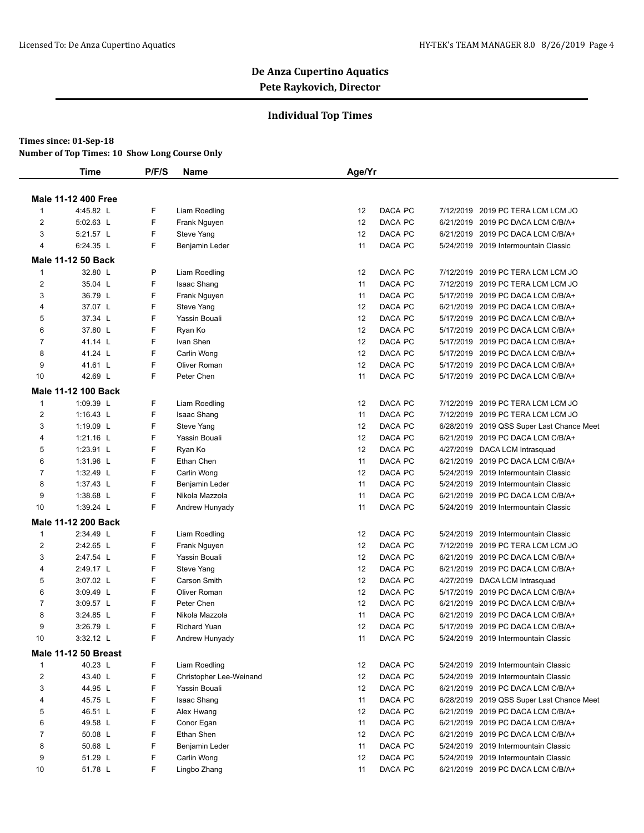## **Individual Top Times**

### **Times since: 01-Sep-18**

|                | <b>Time</b>                 | P/F/S | <b>Name</b>             | Age/Yr |         |                                           |
|----------------|-----------------------------|-------|-------------------------|--------|---------|-------------------------------------------|
|                |                             |       |                         |        |         |                                           |
|                | <b>Male 11-12 400 Free</b>  |       |                         |        |         |                                           |
| $\mathbf{1}$   | 4:45.82 L                   | F     | Liam Roedling           | 12     | DACA PC | 7/12/2019 2019 PC TERA LCM LCM JO         |
| $\overline{2}$ | 5:02.63 L                   | F     | Frank Nguyen            | 12     | DACA PC | 6/21/2019 2019 PC DACA LCM C/B/A+         |
| 3              | 5:21.57 L                   | F     | Steve Yang              | 12     | DACA PC | 6/21/2019 2019 PC DACA LCM C/B/A+         |
| $\overline{4}$ | 6:24.35 L                   | F     | Benjamin Leder          | 11     | DACA PC | 5/24/2019 2019 Intermountain Classic      |
|                | <b>Male 11-12 50 Back</b>   |       |                         |        |         |                                           |
| $\overline{1}$ | 32.80 L                     | P     | Liam Roedling           | 12     | DACA PC | 7/12/2019 2019 PC TERA LCM LCM JO         |
| $\overline{2}$ | 35.04 L                     | F     | Isaac Shang             | 11     | DACA PC | 7/12/2019 2019 PC TERA LCM LCM JO         |
| 3              | 36.79 L                     | F     | Frank Nguyen            | 11     | DACA PC | 5/17/2019 2019 PC DACA LCM C/B/A+         |
| 4              | 37.07 L                     | F     | Steve Yang              | 12     | DACA PC | 6/21/2019 2019 PC DACA LCM C/B/A+         |
| 5              | 37.34 L                     | F     | Yassin Bouali           | 12     | DACA PC | 5/17/2019 2019 PC DACA LCM C/B/A+         |
| 6              | 37.80 L                     | F     | Ryan Ko                 | 12     | DACA PC | 5/17/2019 2019 PC DACA LCM C/B/A+         |
| $\overline{7}$ | 41.14 L                     | F     | Ivan Shen               | 12     | DACA PC | 5/17/2019 2019 PC DACA LCM C/B/A+         |
| 8              | 41.24 L                     | F     | Carlin Wong             | 12     | DACA PC | 5/17/2019 2019 PC DACA LCM C/B/A+         |
| 9              | 41.61 L                     | F     | Oliver Roman            | 12     | DACA PC | 5/17/2019 2019 PC DACA LCM C/B/A+         |
| 10             | 42.69 L                     | F     | Peter Chen              | 11     | DACA PC | 5/17/2019 2019 PC DACA LCM C/B/A+         |
|                | Male 11-12 100 Back         |       |                         |        |         |                                           |
| $\mathbf{1}$   | 1:09.39 L                   | F     | Liam Roedling           | 12     | DACA PC | 7/12/2019 2019 PC TERA LCM LCM JO         |
| $\overline{2}$ | 1:16.43 $L$                 | F     | <b>Isaac Shang</b>      | 11     | DACA PC | 7/12/2019 2019 PC TERA LCM LCM JO         |
| 3              | 1:19.09 L                   | F     | Steve Yang              | 12     | DACA PC | 6/28/2019 2019 QSS Super Last Chance Meet |
| 4              | 1:21.16 L                   | F     | Yassin Bouali           | 12     | DACA PC | 6/21/2019 2019 PC DACA LCM C/B/A+         |
| 5              | 1:23.91 L                   | F     | Ryan Ko                 | 12     | DACA PC | 4/27/2019 DACA LCM Intrasquad             |
| 6              | 1:31.96 L                   | F     | Ethan Chen              | 11     | DACA PC | 6/21/2019 2019 PC DACA LCM C/B/A+         |
| $\overline{7}$ | 1:32.49 L                   | F     | Carlin Wong             | 12     | DACA PC | 5/24/2019 2019 Intermountain Classic      |
| 8              | 1:37.43 L                   | F     | Benjamin Leder          | 11     | DACA PC | 5/24/2019 2019 Intermountain Classic      |
| 9              | 1:38.68 L                   | F     | Nikola Mazzola          | 11     | DACA PC | 6/21/2019 2019 PC DACA LCM C/B/A+         |
| 10             | 1:39.24 L                   | F     | Andrew Hunyady          | 11     | DACA PC | 5/24/2019 2019 Intermountain Classic      |
|                | <b>Male 11-12 200 Back</b>  |       |                         |        |         |                                           |
| $\mathbf{1}$   | 2:34.49 L                   | F     | Liam Roedling           | 12     | DACA PC | 5/24/2019 2019 Intermountain Classic      |
| $\overline{2}$ | 2:42.65 L                   | F     | Frank Nguyen            | 12     | DACA PC | 7/12/2019 2019 PC TERA LCM LCM JO         |
| 3              | 2:47.54 L                   | F     | Yassin Bouali           | 12     | DACA PC | 6/21/2019 2019 PC DACA LCM C/B/A+         |
| 4              | 2:49.17 L                   | F     | Steve Yang              | 12     | DACA PC | 6/21/2019 2019 PC DACA LCM C/B/A+         |
| 5              | 3:07.02 L                   | F     | Carson Smith            | 12     | DACA PC | 4/27/2019 DACA LCM Intrasquad             |
| 6              | 3:09.49 L                   | F     | Oliver Roman            | 12     | DACA PC | 5/17/2019 2019 PC DACA LCM C/B/A+         |
| $\overline{7}$ | 3:09.57 L                   | F     | Peter Chen              | 12     | DACA PC | 6/21/2019 2019 PC DACA LCM C/B/A+         |
| 8              | 3:24.85 L                   | F     | Nikola Mazzola          | 11     | DACA PC | 6/21/2019 2019 PC DACA LCM C/B/A+         |
| 9              | 3:26.79 L                   | F     | <b>Richard Yuan</b>     | 12     | DACA PC | 5/17/2019 2019 PC DACA LCM C/B/A+         |
| 10             | 3:32.12 L                   | F     | Andrew Hunyady          | 11     | DACA PC | 5/24/2019 2019 Intermountain Classic      |
|                | <b>Male 11-12 50 Breast</b> |       |                         |        |         |                                           |
| $\mathbf{1}$   | 40.23 L                     | F     | Liam Roedling           | 12     | DACA PC | 5/24/2019 2019 Intermountain Classic      |
| $\overline{2}$ | 43.40 L                     | F     | Christopher Lee-Weinand | 12     | DACA PC | 5/24/2019 2019 Intermountain Classic      |
| 3              | 44.95 L                     | F     | Yassin Bouali           | 12     | DACA PC | 6/21/2019 2019 PC DACA LCM C/B/A+         |
| 4              | 45.75 L                     | F     | Isaac Shang             | 11     | DACA PC | 6/28/2019 2019 QSS Super Last Chance Meet |
| 5              | 46.51 L                     | F     | Alex Hwang              | 12     | DACA PC | 6/21/2019 2019 PC DACA LCM C/B/A+         |
| 6              | 49.58 L                     | F     | Conor Egan              | 11     | DACA PC | 6/21/2019 2019 PC DACA LCM C/B/A+         |
| $\overline{7}$ | 50.08 L                     | F     | Ethan Shen              | 12     | DACA PC | 6/21/2019 2019 PC DACA LCM C/B/A+         |
| 8              | 50.68 L                     | F     | Benjamin Leder          | 11     | DACA PC | 5/24/2019 2019 Intermountain Classic      |
| 9              | 51.29 L                     | F     | Carlin Wong             | 12     | DACA PC | 5/24/2019 2019 Intermountain Classic      |
| 10             | 51.78 L                     | F     | Lingbo Zhang            | 11     | DACA PC | 6/21/2019 2019 PC DACA LCM C/B/A+         |
|                |                             |       |                         |        |         |                                           |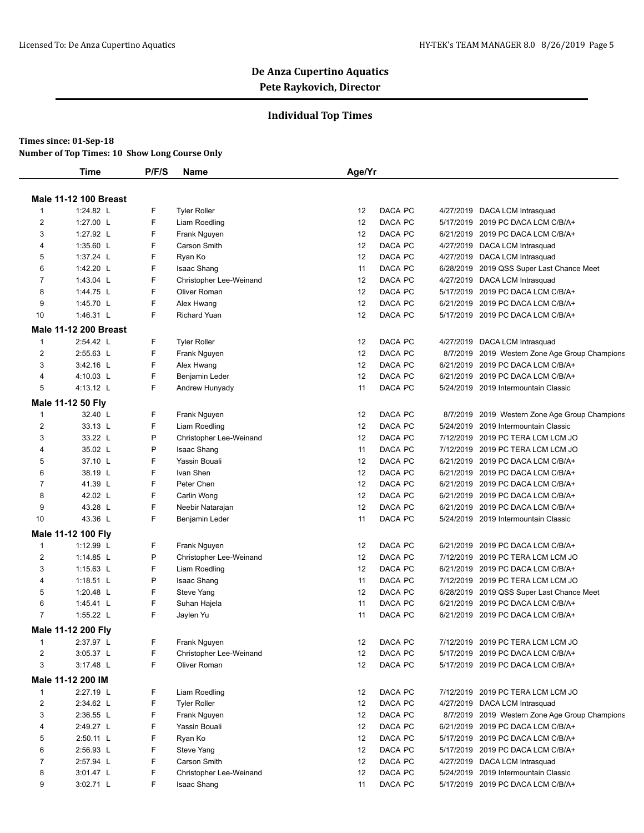## **Individual Top Times**

#### **Times since: 01-Sep-18**

|                | Time                         | P/F/S | Name                    | Age/Yr |         |                                                |
|----------------|------------------------------|-------|-------------------------|--------|---------|------------------------------------------------|
|                | <b>Male 11-12 100 Breast</b> |       |                         |        |         |                                                |
| $\mathbf{1}$   | 1:24.82 L                    | F     | <b>Tyler Roller</b>     | 12     | DACA PC | 4/27/2019 DACA LCM Intrasquad                  |
| $\overline{2}$ | 1:27.00 L                    | F     | Liam Roedling           | 12     | DACA PC | 5/17/2019 2019 PC DACA LCM C/B/A+              |
| 3              | 1:27.92 L                    | F     | Frank Nguyen            | 12     | DACA PC | 6/21/2019 2019 PC DACA LCM C/B/A+              |
| 4              | 1:35.60 L                    | F     | Carson Smith            | 12     | DACA PC | 4/27/2019 DACA LCM Intrasquad                  |
| 5              | 1:37.24 L                    | F     | Ryan Ko                 | 12     | DACA PC | 4/27/2019 DACA LCM Intrasquad                  |
| 6              | 1:42.20 L                    | F     | <b>Isaac Shang</b>      | 11     | DACA PC | 6/28/2019 2019 QSS Super Last Chance Meet      |
| $\overline{7}$ | 1:43.04 L                    | F     | Christopher Lee-Weinand | 12     | DACA PC | 4/27/2019 DACA LCM Intrasquad                  |
| 8              | 1:44.75 L                    | F     | Oliver Roman            | 12     | DACA PC | 5/17/2019 2019 PC DACA LCM C/B/A+              |
| 9              | 1:45.70 L                    | F     | Alex Hwang              | 12     | DACA PC | 6/21/2019 2019 PC DACA LCM C/B/A+              |
| 10             | 1:46.31 L                    | F     | <b>Richard Yuan</b>     | 12     | DACA PC | 5/17/2019 2019 PC DACA LCM C/B/A+              |
|                | <b>Male 11-12 200 Breast</b> |       |                         |        |         |                                                |
| $\mathbf{1}$   | 2:54.42 L                    | F     | <b>Tyler Roller</b>     | 12     | DACA PC | 4/27/2019 DACA LCM Intrasquad                  |
| $\overline{2}$ | 2:55.63 L                    | F     | Frank Nguyen            | 12     | DACA PC | 8/7/2019 2019 Western Zone Age Group Champions |
| 3              | 3:42.16 L                    | F     | Alex Hwang              | 12     | DACA PC | 6/21/2019 2019 PC DACA LCM C/B/A+              |
| 4              | 4:10.03 L                    | F     | Benjamin Leder          | 12     | DACA PC | 6/21/2019 2019 PC DACA LCM C/B/A+              |
| 5              | 4:13.12 L                    | F     | Andrew Hunyady          | 11     | DACA PC | 5/24/2019 2019 Intermountain Classic           |
|                | Male 11-12 50 Fly            |       |                         |        |         |                                                |
| $\mathbf{1}$   | 32.40 L                      | F     | Frank Nguyen            | 12     | DACA PC | 8/7/2019 2019 Western Zone Age Group Champions |
| $\overline{2}$ | 33.13 L                      | F     | Liam Roedling           | 12     | DACA PC | 5/24/2019 2019 Intermountain Classic           |
| 3              | 33.22 L                      | P     | Christopher Lee-Weinand | 12     | DACA PC | 7/12/2019 2019 PC TERA LCM LCM JO              |
| 4              | 35.02 L                      | P     | <b>Isaac Shang</b>      | 11     | DACA PC | 7/12/2019 2019 PC TERA LCM LCM JO              |
| 5              | 37.10 L                      | F     | Yassin Bouali           | 12     | DACA PC | 6/21/2019 2019 PC DACA LCM C/B/A+              |
| 6              | 38.19 L                      | F     | Ivan Shen               | 12     | DACA PC | 6/21/2019 2019 PC DACA LCM C/B/A+              |
| $\overline{7}$ | 41.39 L                      | F     | Peter Chen              | 12     | DACA PC | 6/21/2019 2019 PC DACA LCM C/B/A+              |
| 8              | 42.02 L                      | F     | Carlin Wong             | 12     | DACA PC | 6/21/2019 2019 PC DACA LCM C/B/A+              |
| 9              | 43.28 L                      | F     | Neebir Natarajan        | 12     | DACA PC | 6/21/2019 2019 PC DACA LCM C/B/A+              |
| 10             | 43.36 L                      | F     | Benjamin Leder          | 11     | DACA PC | 5/24/2019 2019 Intermountain Classic           |
|                | Male 11-12 100 Fly           |       |                         |        |         |                                                |
| $\mathbf{1}$   | 1:12.99 L                    | F     | Frank Nguyen            | 12     | DACA PC | 6/21/2019 2019 PC DACA LCM C/B/A+              |
| $\overline{2}$ | 1:14.85 L                    | P     | Christopher Lee-Weinand | 12     | DACA PC | 7/12/2019 2019 PC TERA LCM LCM JO              |
| 3              | 1:15.63 L                    | F     | Liam Roedling           | 12     | DACA PC | 6/21/2019 2019 PC DACA LCM C/B/A+              |
| 4              | 1:18.51 $L$                  | P     | <b>Isaac Shang</b>      | 11     | DACA PC | 7/12/2019 2019 PC TERA LCM LCM JO              |
| 5              | 1:20.48 L                    | F     | Steve Yang              | 12     | DACA PC | 6/28/2019 2019 QSS Super Last Chance Meet      |
| 6              | 1:45.41 $L$                  | F     | Suhan Hajela            | 11     | DACA PC | 6/21/2019 2019 PC DACA LCM C/B/A+              |
| $\overline{7}$ | 1:55.22 L                    | F     | Jaylen Yu               | 11     | DACA PC | 6/21/2019 2019 PC DACA LCM C/B/A+              |
|                | Male 11-12 200 Fly           |       |                         |        |         |                                                |
| $\mathbf{1}$   | 2:37.97 L                    | F     | Frank Nguyen            | 12     | DACA PC | 7/12/2019 2019 PC TERA LCM LCM JO              |
| $\overline{c}$ | 3:05.37 L                    | F     | Christopher Lee-Weinand | 12     | DACA PC | 5/17/2019 2019 PC DACA LCM C/B/A+              |
| 3              | 3:17.48 L                    | F     | Oliver Roman            | 12     | DACA PC | 5/17/2019 2019 PC DACA LCM C/B/A+              |
|                | Male 11-12 200 IM            |       |                         |        |         |                                                |
| $\mathbf{1}$   | 2:27.19 L                    | F     | Liam Roedling           | 12     | DACA PC | 7/12/2019 2019 PC TERA LCM LCM JO              |
| $\overline{2}$ | 2:34.62 L                    | F     | <b>Tyler Roller</b>     | 12     | DACA PC | 4/27/2019 DACA LCM Intrasquad                  |
| 3              | 2:36.55 L                    | F     | Frank Nguyen            | 12     | DACA PC | 8/7/2019 2019 Western Zone Age Group Champions |
| 4              | 2:49.27 L                    | F     | Yassin Bouali           | 12     | DACA PC | 6/21/2019 2019 PC DACA LCM C/B/A+              |
| 5              | 2:50.11 L                    | F     | Ryan Ko                 | 12     | DACA PC | 5/17/2019 2019 PC DACA LCM C/B/A+              |
| 6              | 2:56.93 L                    | F     | Steve Yang              | 12     | DACA PC | 5/17/2019 2019 PC DACA LCM C/B/A+              |
| $\overline{7}$ | 2:57.94 L                    | F     | Carson Smith            | 12     | DACA PC | 4/27/2019 DACA LCM Intrasquad                  |
| 8              | 3:01.47 L                    | F     | Christopher Lee-Weinand | 12     | DACA PC | 5/24/2019 2019 Intermountain Classic           |
| 9              | 3:02.71 L                    | F     | Isaac Shang             | 11     | DACA PC | 5/17/2019 2019 PC DACA LCM C/B/A+              |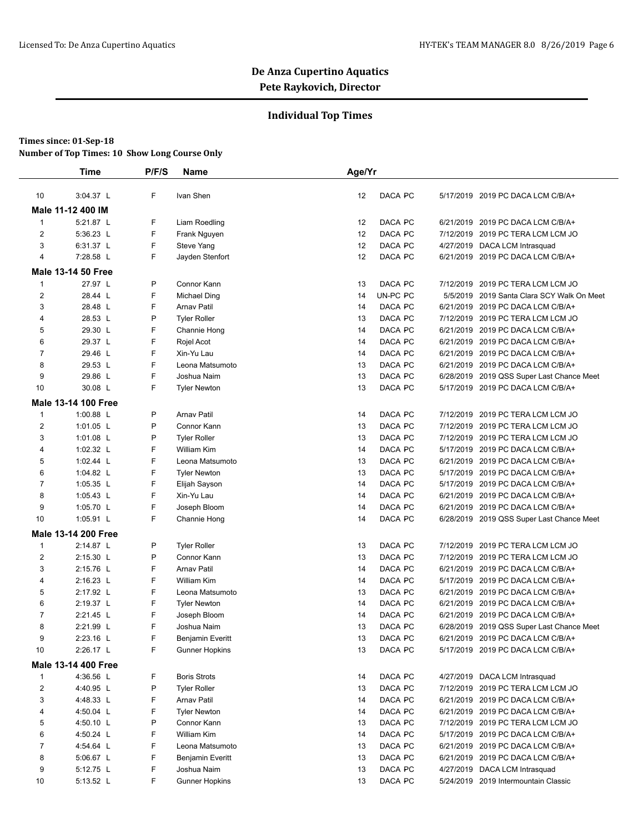### **Individual Top Times**

|                | <b>Time</b>                | P/F/S  | <b>Name</b>                        | Age/Yr   |          |                                                                        |
|----------------|----------------------------|--------|------------------------------------|----------|----------|------------------------------------------------------------------------|
|                |                            |        |                                    |          |          |                                                                        |
| 10             | 3:04.37 L                  | F      | Ivan Shen                          | 12       | DACA PC  | 5/17/2019 2019 PC DACA LCM C/B/A+                                      |
|                | Male 11-12 400 IM          |        |                                    |          |          |                                                                        |
| $\mathbf{1}$   | 5:21.87 L                  | F      | Liam Roedling                      | 12       | DACA PC  | 6/21/2019 2019 PC DACA LCM C/B/A+                                      |
| 2              | 5:36.23 L                  | F      | Frank Nguyen                       | 12       | DACA PC  | 7/12/2019 2019 PC TERA LCM LCM JO                                      |
| 3              | 6:31.37 L                  | F      | Steve Yang                         | 12       | DACA PC  | 4/27/2019 DACA LCM Intrasquad                                          |
| $\overline{4}$ | 7:28.58 L                  | F      | Jayden Stenfort                    | 12       | DACA PC  | 6/21/2019 2019 PC DACA LCM C/B/A+                                      |
|                | <b>Male 13-14 50 Free</b>  |        |                                    |          |          |                                                                        |
| $\mathbf{1}$   | 27.97 L                    | Ρ      | Connor Kann                        | 13       | DACA PC  | 7/12/2019 2019 PC TERA LCM LCM JO                                      |
| 2              | 28.44 L                    | F      | Michael Ding                       | 14       | UN-PC PC | 5/5/2019 2019 Santa Clara SCY Walk On Meet                             |
| 3              | 28.48 L                    | F      | Arnav Patil                        | 14       | DACA PC  | 6/21/2019 2019 PC DACA LCM C/B/A+                                      |
| $\overline{4}$ | 28.53 L                    | P      | <b>Tyler Roller</b>                | 13       | DACA PC  | 7/12/2019 2019 PC TERA LCM LCM JO                                      |
| 5              | 29.30 L                    | F      | Channie Hong                       | 14       | DACA PC  | 6/21/2019 2019 PC DACA LCM C/B/A+                                      |
| 6              | 29.37 L                    | F      | Rojel Acot                         | 14       | DACA PC  | 6/21/2019 2019 PC DACA LCM C/B/A+                                      |
| $\overline{7}$ | 29.46 L                    | F      | Xin-Yu Lau                         | 14       | DACA PC  | 6/21/2019 2019 PC DACA LCM C/B/A+                                      |
| 8              | 29.53 L                    | F      | Leona Matsumoto                    | 13       | DACA PC  | 6/21/2019 2019 PC DACA LCM C/B/A+                                      |
| 9              | 29.86 L                    | F      | Joshua Naim                        | 13       | DACA PC  | 6/28/2019 2019 QSS Super Last Chance Meet                              |
| 10             | 30.08 L                    | F      | <b>Tyler Newton</b>                | 13       | DACA PC  | 5/17/2019 2019 PC DACA LCM C/B/A+                                      |
|                | Male 13-14 100 Free        |        |                                    |          |          |                                                                        |
| $\mathbf{1}$   | 1:00.88 L                  | Ρ      | <b>Arnav Patil</b>                 | 14       | DACA PC  | 7/12/2019 2019 PC TERA LCM LCM JO                                      |
| $\overline{c}$ | 1:01.05 L                  | P      | Connor Kann                        | 13       | DACA PC  | 7/12/2019 2019 PC TERA LCM LCM JO                                      |
| 3              | 1:01.08 $L$                | Ρ      | <b>Tyler Roller</b>                | 13       | DACA PC  | 7/12/2019 2019 PC TERA LCM LCM JO                                      |
| 4              | 1:02.32 L                  | F      | <b>William Kim</b>                 | 14       | DACA PC  | 5/17/2019 2019 PC DACA LCM C/B/A+                                      |
| 5              | 1:02.44 L                  | F      | Leona Matsumoto                    | 13       | DACA PC  | 6/21/2019 2019 PC DACA LCM C/B/A+                                      |
| 6              | 1:04.82 $L$                | F      | <b>Tyler Newton</b>                | 13       | DACA PC  | 5/17/2019 2019 PC DACA LCM C/B/A+                                      |
| $\overline{7}$ | 1:05.35 L                  | F      | Elijah Sayson                      | 14       | DACA PC  | 5/17/2019 2019 PC DACA LCM C/B/A+                                      |
| 8              | 1:05.43 L                  | F      | Xin-Yu Lau                         | 14       | DACA PC  | 6/21/2019 2019 PC DACA LCM C/B/A+                                      |
| 9              | 1:05.70 $L$                | F      | Joseph Bloom                       | 14       | DACA PC  | 6/21/2019 2019 PC DACA LCM C/B/A+                                      |
| 10             | 1:05.91 L                  | F      | Channie Hong                       | 14       | DACA PC  | 6/28/2019 2019 QSS Super Last Chance Meet                              |
|                | <b>Male 13-14 200 Free</b> |        |                                    |          |          |                                                                        |
| $\mathbf{1}$   | 2:14.87 L                  | Ρ      | <b>Tyler Roller</b>                | 13       | DACA PC  | 7/12/2019 2019 PC TERA LCM LCM JO                                      |
| $\overline{c}$ | 2:15.30 L                  | Ρ      | Connor Kann                        | 13       | DACA PC  | 7/12/2019 2019 PC TERA LCM LCM JO                                      |
| 3              | 2:15.76 L                  | F      | <b>Arnav Patil</b>                 | 14       | DACA PC  | 6/21/2019 2019 PC DACA LCM C/B/A+                                      |
| 4              | 2:16.23 L                  | F      | <b>William Kim</b>                 | 14       | DACA PC  | 5/17/2019 2019 PC DACA LCM C/B/A+                                      |
| 5              | 2:17.92 L                  | F      | Leona Matsumoto                    | 13       | DACA PC  | 6/21/2019 2019 PC DACA LCM C/B/A+                                      |
| 6              | 2:19.37 L                  | F      | <b>Tyler Newton</b>                | 14       | DACA PC  | 6/21/2019 2019 PC DACA LCM C/B/A+                                      |
| $\overline{7}$ | 2:21.45 L                  | F      | Joseph Bloom                       | 14       | DACA PC  | 6/21/2019 2019 PC DACA LCM C/B/A+                                      |
| 8              | 2:21.99 L                  | F      | Joshua Naim                        | 13       | DACA PC  | 6/28/2019 2019 QSS Super Last Chance Meet                              |
| 9              | 2:23.16 L                  | F      | <b>Benjamin Everitt</b>            | 13       | DACA PC  | 6/21/2019 2019 PC DACA LCM C/B/A+                                      |
| 10             | 2:26.17 L                  | F      | <b>Gunner Hopkins</b>              | 13       | DACA PC  | 5/17/2019 2019 PC DACA LCM C/B/A+                                      |
|                | Male 13-14 400 Free        |        |                                    |          |          |                                                                        |
| $\mathbf{1}$   | 4:36.56 L                  |        | <b>Boris Strots</b>                |          | DACA PC  | 4/27/2019 DACA LCM Intrasquad                                          |
| $\overline{2}$ | 4:40.95 L                  | F<br>P | <b>Tyler Roller</b>                | 14<br>13 | DACA PC  | 7/12/2019 2019 PC TERA LCM LCM JO                                      |
| 3              |                            | F      |                                    | 14       | DACA PC  |                                                                        |
| 4              | 4:48.33 L<br>4:50.04 L     | F      | Arnav Patil<br><b>Tyler Newton</b> | 14       | DACA PC  | 6/21/2019 2019 PC DACA LCM C/B/A+<br>6/21/2019 2019 PC DACA LCM C/B/A+ |
| 5              | 4:50.10 L                  | P      | Connor Kann                        | 13       | DACA PC  | 7/12/2019 2019 PC TERA LCM LCM JO                                      |
| 6              | 4:50.24 L                  | F      | William Kim                        | 14       | DACA PC  | 5/17/2019 2019 PC DACA LCM C/B/A+                                      |
| $\overline{7}$ | 4:54.64 L                  | F      | Leona Matsumoto                    | 13       | DACA PC  | 6/21/2019 2019 PC DACA LCM C/B/A+                                      |
| 8              | 5:06.67 L                  | F      | Benjamin Everitt                   | 13       | DACA PC  | 6/21/2019 2019 PC DACA LCM C/B/A+                                      |
| 9              | 5:12.75 L                  | F      | Joshua Naim                        | 13       | DACA PC  | 4/27/2019 DACA LCM Intrasquad                                          |
| 10             | 5:13.52 L                  | F      | <b>Gunner Hopkins</b>              | 13       | DACA PC  | 5/24/2019 2019 Intermountain Classic                                   |
|                |                            |        |                                    |          |          |                                                                        |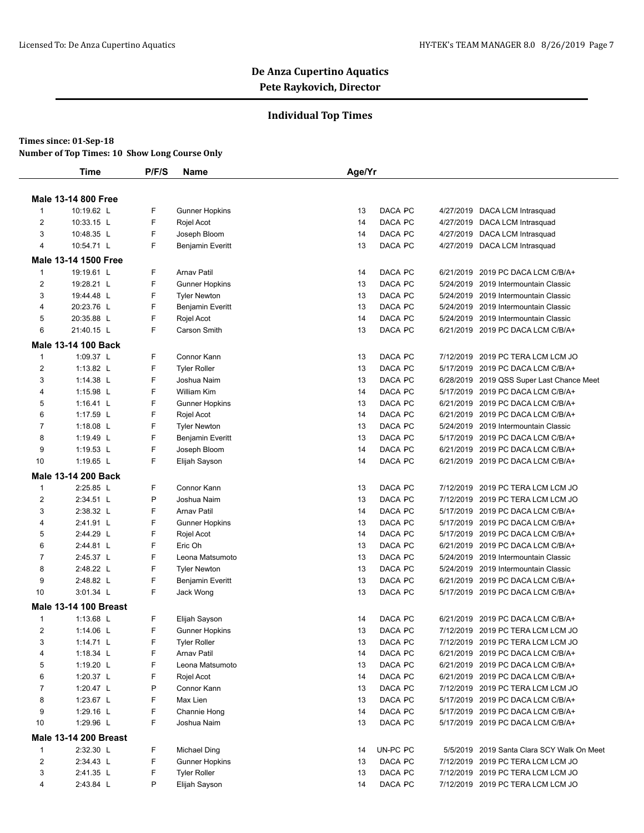## **Individual Top Times**

#### **Times since: 01-Sep-18**

|                | Time                         | P/F/S  | Name                                         | Age/Yr   |                    |           |                                                                           |
|----------------|------------------------------|--------|----------------------------------------------|----------|--------------------|-----------|---------------------------------------------------------------------------|
|                | <b>Male 13-14 800 Free</b>   |        |                                              |          |                    |           |                                                                           |
| $\mathbf{1}$   | 10:19.62 L                   | F      | <b>Gunner Hopkins</b>                        | 13       | DACA PC            |           | 4/27/2019 DACA LCM Intrasquad                                             |
| $\overline{2}$ | 10:33.15 L                   | F      | Rojel Acot                                   | 14       | DACA PC            |           | 4/27/2019 DACA LCM Intrasquad                                             |
| 3              | 10:48.35 L                   | F      | Joseph Bloom                                 | 14       | DACA PC            |           | 4/27/2019 DACA LCM Intrasquad                                             |
| 4              | 10:54.71 L                   | F      | <b>Benjamin Everitt</b>                      | 13       | DACA PC            |           | 4/27/2019 DACA LCM Intrasquad                                             |
|                | Male 13-14 1500 Free         |        |                                              |          |                    |           |                                                                           |
| 1              | 19:19.61 L                   | F      | <b>Arnav Patil</b>                           |          |                    |           | 6/21/2019 2019 PC DACA LCM C/B/A+                                         |
| $\overline{2}$ | 19:28.21 L                   | F      |                                              | 14<br>13 | DACA PC<br>DACA PC |           | 5/24/2019 2019 Intermountain Classic                                      |
| 3              | 19:44.48 L                   | F      | <b>Gunner Hopkins</b><br><b>Tyler Newton</b> | 13       | DACA PC            |           | 5/24/2019 2019 Intermountain Classic                                      |
| 4              | 20:23.76 L                   | F      | <b>Benjamin Everitt</b>                      | 13       | DACA PC            | 5/24/2019 | 2019 Intermountain Classic                                                |
| 5              | 20:35.88 L                   | F      | Rojel Acot                                   | 14       | DACA PC            |           | 5/24/2019 2019 Intermountain Classic                                      |
| 6              | 21:40.15 L                   | F      | Carson Smith                                 | 13       | DACA PC            |           | 6/21/2019 2019 PC DACA LCM C/B/A+                                         |
|                |                              |        |                                              |          |                    |           |                                                                           |
|                | <b>Male 13-14 100 Back</b>   |        |                                              |          |                    |           |                                                                           |
| $\mathbf{1}$   | 1:09.37 L                    | F      | Connor Kann                                  | 13       | DACA PC            | 7/12/2019 | 2019 PC TERA LCM LCM JO                                                   |
| $\overline{2}$ | 1:13.82 L                    | F      | <b>Tyler Roller</b>                          | 13       | DACA PC            |           | 5/17/2019 2019 PC DACA LCM C/B/A+                                         |
| 3              | 1:14.38 L                    | F      | Joshua Naim                                  | 13       | DACA PC            |           | 6/28/2019 2019 QSS Super Last Chance Meet                                 |
| 4              | 1:15.98 L                    | F      | <b>William Kim</b>                           | 14       | DACA PC            |           | 5/17/2019 2019 PC DACA LCM C/B/A+                                         |
| 5              | 1:16.41 $L$                  | F<br>F | <b>Gunner Hopkins</b>                        | 13       | DACA PC<br>DACA PC | 6/21/2019 | 6/21/2019 2019 PC DACA LCM C/B/A+                                         |
| 6<br>7         | 1:17.59 L<br>1:18.08 L       | F      | Rojel Acot                                   | 14<br>13 | DACA PC            | 5/24/2019 | 2019 PC DACA LCM C/B/A+<br>2019 Intermountain Classic                     |
| 8              | 1:19.49 L                    | F      | <b>Tyler Newton</b>                          | 13       | DACA PC            |           | 5/17/2019 2019 PC DACA LCM C/B/A+                                         |
| 9              | 1:19.53 L                    | F      | <b>Benjamin Everitt</b><br>Joseph Bloom      | 14       | DACA PC            |           | 6/21/2019 2019 PC DACA LCM C/B/A+                                         |
| 10             | 1:19.65 L                    | F      | Elijah Sayson                                | 14       | DACA PC            |           | 6/21/2019 2019 PC DACA LCM C/B/A+                                         |
|                |                              |        |                                              |          |                    |           |                                                                           |
|                | <b>Male 13-14 200 Back</b>   |        |                                              |          |                    |           |                                                                           |
| 1              | 2:25.85 L                    | F      | Connor Kann                                  | 13       | DACA PC            |           | 7/12/2019 2019 PC TERA LCM LCM JO                                         |
| 2              | 2:34.51 L                    | P      | Joshua Naim                                  | 13       | DACA PC            |           | 7/12/2019 2019 PC TERA LCM LCM JO                                         |
| 3              | 2:38.32 L                    | F      | <b>Arnav Patil</b>                           | 14       | DACA PC            |           | 5/17/2019 2019 PC DACA LCM C/B/A+                                         |
| 4              | 2:41.91 L                    | F      | <b>Gunner Hopkins</b>                        | 13       | DACA PC            |           | 5/17/2019 2019 PC DACA LCM C/B/A+                                         |
| 5              | 2:44.29 L                    | F      | Rojel Acot                                   | 14       | DACA PC            | 5/17/2019 | 2019 PC DACA LCM C/B/A+                                                   |
| 6              | 2:44.81 L                    | F      | Eric Oh                                      | 13       | DACA PC            |           | 6/21/2019 2019 PC DACA LCM C/B/A+                                         |
| $\overline{7}$ | 2:45.37 L                    | F<br>F | Leona Matsumoto                              | 13       | DACA PC            |           | 5/24/2019 2019 Intermountain Classic                                      |
| 8<br>9         | 2:48.22 L<br>2:48.82 L       | F      | <b>Tyler Newton</b>                          | 13<br>13 | DACA PC<br>DACA PC |           | 5/24/2019 2019 Intermountain Classic<br>6/21/2019 2019 PC DACA LCM C/B/A+ |
| 10             | 3:01.34 L                    | F      | <b>Benjamin Everitt</b>                      | 13       | DACA PC            |           | 5/17/2019 2019 PC DACA LCM C/B/A+                                         |
|                |                              |        | Jack Wong                                    |          |                    |           |                                                                           |
|                | <b>Male 13-14 100 Breast</b> |        |                                              |          |                    |           |                                                                           |
| 1              | 1:13.68 L                    | F      | Elijah Sayson                                | 14       | DACA PC            | 6/21/2019 | 2019 PC DACA LCM C/B/A+                                                   |
| $\overline{2}$ | 1:14.06 L                    | F      | <b>Gunner Hopkins</b>                        | 13       | DACA PC            |           | 7/12/2019 2019 PC TERA LCM LCM JO                                         |
| 3              | 1:14.71 L                    | F      | <b>Tyler Roller</b>                          | 13       | DACA PC            |           | 7/12/2019 2019 PC TERA LCM LCM JO                                         |
| 4              | 1:18.34 L                    | F      | Arnav Patil                                  | 14       | DACA PC            |           | 6/21/2019 2019 PC DACA LCM C/B/A+                                         |
| 5              | 1:19.20 $L$                  | F      | Leona Matsumoto                              | 13       | DACA PC            |           | 6/21/2019 2019 PC DACA LCM C/B/A+                                         |
| 6              | 1:20.37 L                    | F      | Rojel Acot                                   | 14       | DACA PC            |           | 6/21/2019 2019 PC DACA LCM C/B/A+                                         |
| 7              | 1:20.47 $L$                  | P      | Connor Kann                                  | 13       | DACA PC            |           | 7/12/2019 2019 PC TERA LCM LCM JO                                         |
| 8              | 1:23.67 $L$                  | F      | Max Lien                                     | 13       | DACA PC            |           | 5/17/2019 2019 PC DACA LCM C/B/A+                                         |
| 9              | 1:29.16 L                    | F      | Channie Hong                                 | 14       | DACA PC            |           | 5/17/2019 2019 PC DACA LCM C/B/A+                                         |
| 10             | 1:29.96 L                    | F      | Joshua Naim                                  | 13       | DACA PC            |           | 5/17/2019 2019 PC DACA LCM C/B/A+                                         |
|                | <b>Male 13-14 200 Breast</b> |        |                                              |          |                    |           |                                                                           |
| $\mathbf{1}$   | 2:32.30 L                    | F      | Michael Ding                                 | 14       | UN-PC PC           |           | 5/5/2019 2019 Santa Clara SCY Walk On Meet                                |
| $\overline{c}$ | 2:34.43 L                    | F      | <b>Gunner Hopkins</b>                        | 13       | DACA PC            |           | 7/12/2019 2019 PC TERA LCM LCM JO                                         |
| 3              | 2:41.35 L                    | F      | <b>Tyler Roller</b>                          | 13       | DACA PC            |           | 7/12/2019 2019 PC TERA LCM LCM JO                                         |
| 4              | 2:43.84 L                    | P      | Elijah Sayson                                | 14       | DACA PC            |           | 7/12/2019 2019 PC TERA LCM LCM JO                                         |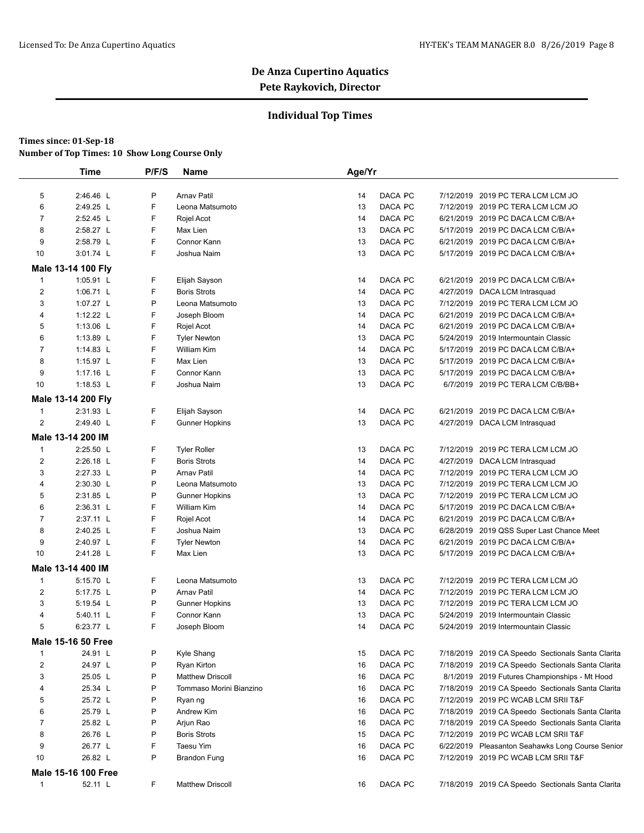### **Individual Top Times**

|                | <b>Time</b>                | P/F/S | <b>Name</b>                        | Age/Yr |         |                                                                           |
|----------------|----------------------------|-------|------------------------------------|--------|---------|---------------------------------------------------------------------------|
| 5              | 2:46.46 L                  | P     | <b>Arnav Patil</b>                 | 14     | DACA PC | 7/12/2019 2019 PC TERA LCM LCM JO                                         |
| 6              | 2:49.25 L                  | F     | Leona Matsumoto                    | 13     | DACA PC | 7/12/2019 2019 PC TERA LCM LCM JO                                         |
| $\overline{7}$ | 2:52.45 L                  | F     | Rojel Acot                         | 14     | DACA PC | 6/21/2019 2019 PC DACA LCM C/B/A+                                         |
| 8              | 2:58.27 L                  | F     | Max Lien                           | 13     | DACA PC | 5/17/2019 2019 PC DACA LCM C/B/A+                                         |
| 9              | 2:58.79 L                  | F     | Connor Kann                        | 13     | DACA PC | 6/21/2019 2019 PC DACA LCM C/B/A+                                         |
| 10             | 3:01.74 L                  | F     | Joshua Naim                        | 13     | DACA PC | 5/17/2019 2019 PC DACA LCM C/B/A+                                         |
|                | Male 13-14 100 Fly         |       |                                    |        |         |                                                                           |
| 1              | 1:05.91 L                  | F     | Elijah Sayson                      | 14     | DACA PC | 6/21/2019 2019 PC DACA LCM C/B/A+                                         |
| $\overline{2}$ | 1:06.71 L                  | F     | <b>Boris Strots</b>                | 14     | DACA PC | 4/27/2019 DACA LCM Intrasquad                                             |
| 3              | 1:07.27 L                  | P     | Leona Matsumoto                    | 13     | DACA PC | 7/12/2019 2019 PC TERA LCM LCM JO                                         |
| 4              | 1:12.22 $L$                | F     | Joseph Bloom                       | 14     | DACA PC | 6/21/2019 2019 PC DACA LCM C/B/A+                                         |
| 5              | 1:13.06 $L$                | F     |                                    | 14     | DACA PC |                                                                           |
| 6              | 1:13.89 L                  | F     | Rojel Acot                         | 13     | DACA PC | 6/21/2019 2019 PC DACA LCM C/B/A+<br>5/24/2019 2019 Intermountain Classic |
| $\overline{7}$ | 1:14.83 L                  | F     | <b>Tyler Newton</b><br>William Kim | 14     | DACA PC | 5/17/2019 2019 PC DACA LCM C/B/A+                                         |
|                |                            | F     |                                    |        |         |                                                                           |
| 8<br>9         | 1:15.97 L                  | F     | Max Lien<br>Connor Kann            | 13     | DACA PC | 5/17/2019 2019 PC DACA LCM C/B/A+                                         |
|                | 1:17.16 L                  | F     |                                    | 13     | DACA PC | 5/17/2019 2019 PC DACA LCM C/B/A+                                         |
| 10             | 1:18.53 L                  |       | Joshua Naim                        | 13     | DACA PC | 6/7/2019 2019 PC TERA LCM C/B/BB+                                         |
|                | Male 13-14 200 Fly         |       |                                    |        |         |                                                                           |
| $\mathbf{1}$   | 2:31.93 L                  | F     | Elijah Sayson                      | 14     | DACA PC | 6/21/2019 2019 PC DACA LCM C/B/A+                                         |
| $\overline{2}$ | 2:49.40 L                  | F     | <b>Gunner Hopkins</b>              | 13     | DACA PC | 4/27/2019 DACA LCM Intrasquad                                             |
|                | Male 13-14 200 IM          |       |                                    |        |         |                                                                           |
| $\mathbf{1}$   | 2:25.50 L                  | F     | <b>Tyler Roller</b>                | 13     | DACA PC | 7/12/2019 2019 PC TERA LCM LCM JO                                         |
| $\overline{c}$ | 2:26.18 L                  | F     | <b>Boris Strots</b>                | 14     | DACA PC | 4/27/2019 DACA LCM Intrasquad                                             |
| 3              | 2:27.33 L                  | P     | <b>Arnav Patil</b>                 | 14     | DACA PC | 7/12/2019 2019 PC TERA LCM LCM JO                                         |
| 4              | 2:30.30 L                  | P     | Leona Matsumoto                    | 13     | DACA PC | 7/12/2019 2019 PC TERA LCM LCM JO                                         |
| 5              | 2:31.85 L                  | P     | <b>Gunner Hopkins</b>              | 13     | DACA PC | 7/12/2019 2019 PC TERA LCM LCM JO                                         |
| 6              | 2:36.31 L                  | F     | William Kim                        | 14     | DACA PC | 5/17/2019 2019 PC DACA LCM C/B/A+                                         |
| $\overline{7}$ | 2:37.11 L                  | F     | Rojel Acot                         | 14     | DACA PC | 6/21/2019 2019 PC DACA LCM C/B/A+                                         |
| 8              | 2:40.25 L                  | F     | Joshua Naim                        | 13     | DACA PC | 6/28/2019 2019 QSS Super Last Chance Meet                                 |
| 9              | 2:40.97 L                  | F     | <b>Tyler Newton</b>                | 14     | DACA PC | 6/21/2019 2019 PC DACA LCM C/B/A+                                         |
| 10             | 2:41.28 L                  | F     | Max Lien                           | 13     | DACA PC | 5/17/2019 2019 PC DACA LCM C/B/A+                                         |
|                | Male 13-14 400 IM          |       |                                    |        |         |                                                                           |
| 1              | 5:15.70 L                  | F     | Leona Matsumoto                    | 13     | DACA PC | 7/12/2019 2019 PC TERA LCM LCM JO                                         |
| 2              | 5:17.75 L                  | P     | <b>Arnav Patil</b>                 | 14     | DACA PC | 7/12/2019 2019 PC TERA LCM LCM JO                                         |
| 3              | 5:19.54 L                  | P     | <b>Gunner Hopkins</b>              | 13     | DACA PC | 7/12/2019 2019 PC TERA LCM LCM JO                                         |
| $\overline{4}$ | 5:40.11 L                  | F     | Connor Kann                        | 13     | DACA PC | 5/24/2019 2019 Intermountain Classic                                      |
| 5              | 6:23.77 L                  | F     | Joseph Bloom                       | 14     | DACA PC | 5/24/2019 2019 Intermountain Classic                                      |
|                | <b>Male 15-16 50 Free</b>  |       |                                    |        |         |                                                                           |
| $\mathbf{1}$   | 24.91 L                    | P     | Kyle Shang                         | 15     | DACA PC | 7/18/2019 2019 CA Speedo Sectionals Santa Clarita                         |
| 2              | 24.97 L                    | P     | Ryan Kirton                        | 16     | DACA PC | 7/18/2019 2019 CA Speedo Sectionals Santa Clarita                         |
| 3              | 25.05 L                    | P     | <b>Matthew Driscoll</b>            | 16     | DACA PC | 8/1/2019 2019 Futures Championships - Mt Hood                             |
| 4              | 25.34 L                    | P     | Tommaso Morini Bianzino            | 16     | DACA PC | 7/18/2019 2019 CA Speedo Sectionals Santa Clarita                         |
| 5              | 25.72 L                    | P     | Ryan ng                            | 16     | DACA PC | 7/12/2019 2019 PC WCAB LCM SRII T&F                                       |
| 6              | 25.79 L                    | P     | Andrew Kim                         | 16     | DACA PC | 7/18/2019 2019 CA Speedo Sectionals Santa Clarita                         |
| 7              | 25.82 L                    | P     | Arjun Rao                          | 16     | DACA PC | 7/18/2019 2019 CA Speedo Sectionals Santa Clarita                         |
| 8              | 26.76 L                    | P     | <b>Boris Strots</b>                | 15     | DACA PC | 7/12/2019 2019 PC WCAB LCM SRII T&F                                       |
| 9              | 26.77 L                    | F     | <b>Taesu Yim</b>                   | 16     | DACA PC | 6/22/2019 Pleasanton Seahawks Long Course Senior                          |
| 10             | 26.82 L                    | P     | <b>Brandon Fung</b>                | 16     | DACA PC | 7/12/2019 2019 PC WCAB LCM SRII T&F                                       |
|                | <b>Male 15-16 100 Free</b> |       |                                    |        |         |                                                                           |
| $\mathbf{1}$   | 52.11 L                    | F     | <b>Matthew Driscoll</b>            | 16     | DACA PC |                                                                           |
|                |                            |       |                                    |        |         | 7/18/2019 2019 CA Speedo Sectionals Santa Clarita                         |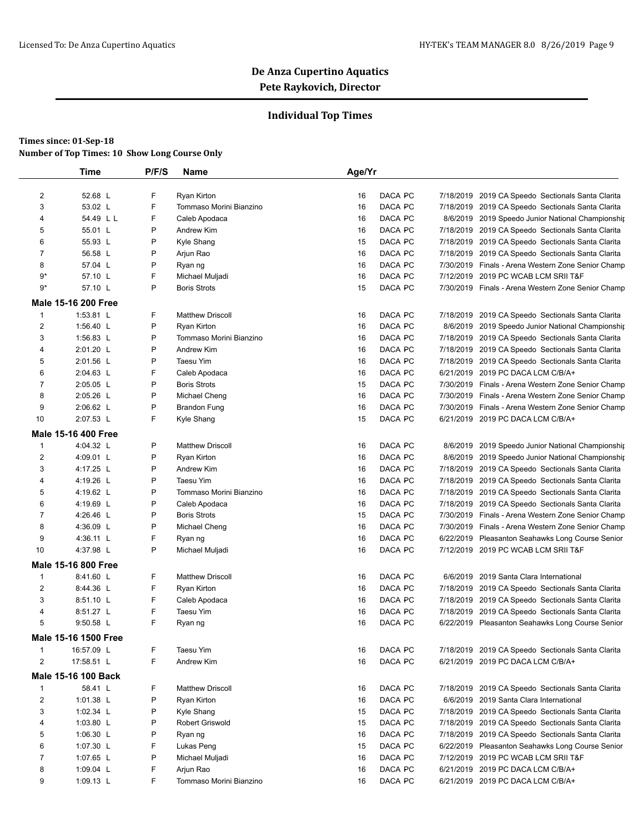## **Individual Top Times**

|                | <b>Time</b>                | P/F/S | Name                    | Age/Yr |         |                                                    |
|----------------|----------------------------|-------|-------------------------|--------|---------|----------------------------------------------------|
| 2              | 52.68 L                    | F     | Ryan Kirton             | 16     | DACA PC | 7/18/2019 2019 CA Speedo Sectionals Santa Clarita  |
| 3              | 53.02 L                    | F     | Tommaso Morini Bianzino | 16     | DACA PC | 7/18/2019 2019 CA Speedo Sectionals Santa Clarita  |
| 4              | 54.49 L L                  | F     | Caleb Apodaca           | 16     | DACA PC | 8/6/2019 2019 Speedo Junior National Championship  |
| 5              | 55.01 L                    | P     | Andrew Kim              | 16     | DACA PC | 7/18/2019 2019 CA Speedo Sectionals Santa Clarita  |
| 6              | 55.93 L                    | P     | Kyle Shang              | 15     | DACA PC | 7/18/2019 2019 CA Speedo Sectionals Santa Clarita  |
| $\overline{7}$ | 56.58 L                    | P     | Arjun Rao               | 16     | DACA PC | 7/18/2019 2019 CA Speedo Sectionals Santa Clarita  |
| 8              | 57.04 L                    | P     | Ryan ng                 | 16     | DACA PC | 7/30/2019 Finals - Arena Western Zone Senior Champ |
| $9*$           | 57.10 L                    | F     | Michael Muljadi         | 16     | DACA PC | 7/12/2019 2019 PC WCAB LCM SRII T&F                |
| $9*$           | 57.10 L                    | P     | <b>Boris Strots</b>     | 15     | DACA PC | 7/30/2019 Finals - Arena Western Zone Senior Champ |
|                | <b>Male 15-16 200 Free</b> |       |                         |        |         |                                                    |
| $\mathbf{1}$   | 1:53.81 L                  | F     | <b>Matthew Driscoll</b> | 16     | DACA PC | 7/18/2019 2019 CA Speedo Sectionals Santa Clarita  |
| $\overline{c}$ | 1:56.40 $L$                | Ρ     | Ryan Kirton             | 16     | DACA PC | 8/6/2019 2019 Speedo Junior National Championship  |
| 3              | 1:56.83 L                  | P     | Tommaso Morini Bianzino | 16     | DACA PC | 7/18/2019 2019 CA Speedo Sectionals Santa Clarita  |
| 4              | 2:01.20 L                  | P     | Andrew Kim              | 16     | DACA PC | 7/18/2019 2019 CA Speedo Sectionals Santa Clarita  |
| 5              | 2:01.56 L                  | P     | Taesu Yim               | 16     | DACA PC | 7/18/2019 2019 CA Speedo Sectionals Santa Clarita  |
| 6              | 2:04.63 L                  | F     | Caleb Apodaca           | 16     | DACA PC | 6/21/2019 2019 PC DACA LCM C/B/A+                  |
| $\overline{7}$ | $2:05.05$ L                | Ρ     | <b>Boris Strots</b>     | 15     | DACA PC | 7/30/2019 Finals - Arena Western Zone Senior Champ |
| 8              | 2:05.26 L                  | P     | Michael Cheng           | 16     | DACA PC | 7/30/2019 Finals - Arena Western Zone Senior Champ |
| 9              | 2:06.62 L                  | P     | <b>Brandon Fung</b>     | 16     | DACA PC | 7/30/2019 Finals - Arena Western Zone Senior Champ |
| 10             | 2:07.53 L                  | F     | Kyle Shang              | 15     | DACA PC | 6/21/2019 2019 PC DACA LCM C/B/A+                  |
|                | <b>Male 15-16 400 Free</b> |       |                         |        |         |                                                    |
| $\mathbf{1}$   | 4:04.32 L                  | P     | <b>Matthew Driscoll</b> | 16     | DACA PC | 8/6/2019 2019 Speedo Junior National Championship  |
| $\overline{2}$ | 4:09.01 L                  | P     | Ryan Kirton             | 16     | DACA PC | 8/6/2019 2019 Speedo Junior National Championship  |
| 3              | 4:17.25 L                  | P     | Andrew Kim              | 16     | DACA PC | 7/18/2019 2019 CA Speedo Sectionals Santa Clarita  |
| 4              | 4:19.26 L                  | Ρ     | Taesu Yim               | 16     | DACA PC | 7/18/2019 2019 CA Speedo Sectionals Santa Clarita  |
| 5              | 4:19.62 L                  | P     | Tommaso Morini Bianzino | 16     | DACA PC | 7/18/2019 2019 CA Speedo Sectionals Santa Clarita  |
| 6              | 4:19.69 L                  | P     | Caleb Apodaca           | 16     | DACA PC | 7/18/2019 2019 CA Speedo Sectionals Santa Clarita  |
| $\overline{7}$ | 4:26.46 L                  | P     | <b>Boris Strots</b>     | 15     | DACA PC | 7/30/2019 Finals - Arena Western Zone Senior Champ |
| 8              | 4:36.09 L                  | P     | Michael Cheng           | 16     | DACA PC | 7/30/2019 Finals - Arena Western Zone Senior Champ |
| 9              | 4:36.11 L                  | F     | Ryan ng                 | 16     | DACA PC | 6/22/2019 Pleasanton Seahawks Long Course Senior   |
| 10             | 4:37.98 L                  | P     | Michael Muljadi         | 16     | DACA PC | 7/12/2019 2019 PC WCAB LCM SRII T&F                |
|                | Male 15-16 800 Free        |       |                         |        |         |                                                    |
| 1              | 8:41.60 L                  | F     | <b>Matthew Driscoll</b> | 16     | DACA PC | 6/6/2019 2019 Santa Clara International            |
| $\overline{2}$ | 8:44.36 L                  | F     | Ryan Kirton             | 16     | DACA PC | 7/18/2019 2019 CA Speedo Sectionals Santa Clarita  |
| 3              | 8:51.10 L                  | F     | Caleb Apodaca           | 16     | DACA PC | 7/18/2019 2019 CA Speedo Sectionals Santa Clarita  |
| 4              | 8:51.27 L                  | F     | Taesu Yim               | 16     | DACA PC | 7/18/2019 2019 CA Speedo Sectionals Santa Clarita  |
| 5              | $9:50.58$ L                | F     | Ryan ng                 | 16     | DACA PC | 6/22/2019 Pleasanton Seahawks Long Course Senior   |
|                | Male 15-16 1500 Free       |       |                         |        |         |                                                    |
| 1              | 16:57.09 L                 | F     | Taesu Yim               | 16     | DACA PC | 7/18/2019 2019 CA Speedo Sectionals Santa Clarita  |
| $\overline{c}$ | 17:58.51 L                 | F     | Andrew Kim              | 16     | DACA PC | 6/21/2019 2019 PC DACA LCM C/B/A+                  |
|                | Male 15-16 100 Back        |       |                         |        |         |                                                    |
| $\mathbf{1}$   | 58.41 L                    | F     | <b>Matthew Driscoll</b> | 16     | DACA PC | 7/18/2019 2019 CA Speedo Sectionals Santa Clarita  |
| $\overline{2}$ | 1:01.38 L                  | P     | Ryan Kirton             | 16     | DACA PC | 6/6/2019 2019 Santa Clara International            |
| 3              | 1:02.34 $L$                | Ρ     | Kyle Shang              | 15     | DACA PC | 7/18/2019 2019 CA Speedo Sectionals Santa Clarita  |
| 4              | 1:03.80 $L$                | P     | Robert Griswold         | 15     | DACA PC | 7/18/2019 2019 CA Speedo Sectionals Santa Clarita  |
| 5              | 1:06.30 $L$                | Ρ     | Ryan ng                 | 16     | DACA PC | 7/18/2019 2019 CA Speedo Sectionals Santa Clarita  |
| 6              | 1:07.30 L                  | F     | Lukas Peng              | 15     | DACA PC | 6/22/2019 Pleasanton Seahawks Long Course Senior   |
| $\overline{7}$ | 1:07.65 L                  | P     | Michael Muljadi         | 16     | DACA PC | 7/12/2019 2019 PC WCAB LCM SRII T&F                |
| 8              | 1:09.04 $L$                | F     | Arjun Rao               | 16     | DACA PC | 6/21/2019 2019 PC DACA LCM C/B/A+                  |
| 9              | 1:09.13 $L$                | F     | Tommaso Morini Bianzino | 16     | DACA PC | 6/21/2019 2019 PC DACA LCM C/B/A+                  |
|                |                            |       |                         |        |         |                                                    |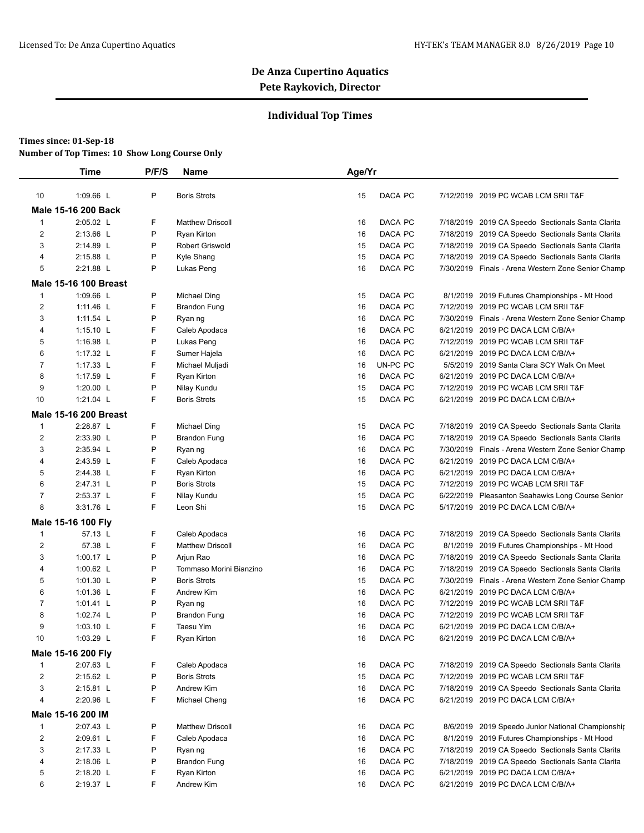## **Individual Top Times**

|                | <b>Time</b>                   | P/F/S | Name                    | Age/Yr   |          |           |                                                                                       |
|----------------|-------------------------------|-------|-------------------------|----------|----------|-----------|---------------------------------------------------------------------------------------|
| 10             | 1:09.66 L                     | P     | <b>Boris Strots</b>     | 15       | DACA PC  |           | 7/12/2019 2019 PC WCAB LCM SRII T&F                                                   |
|                | <b>Male 15-16 200 Back</b>    |       |                         |          |          |           |                                                                                       |
| $\mathbf{1}$   | 2:05.02 L                     | F     | <b>Matthew Driscoll</b> | 16       | DACA PC  |           | 7/18/2019 2019 CA Speedo Sectionals Santa Clarita                                     |
| 2              | 2:13.66 L                     | P     | Ryan Kirton             | 16       | DACA PC  |           | 7/18/2019 2019 CA Speedo Sectionals Santa Clarita                                     |
| 3              | 2:14.89 L                     | P     | Robert Griswold         | 15       | DACA PC  |           | 7/18/2019 2019 CA Speedo Sectionals Santa Clarita                                     |
| 4              | 2:15.88 L                     | P     | Kyle Shang              | 15       | DACA PC  |           | 7/18/2019 2019 CA Speedo Sectionals Santa Clarita                                     |
| 5              | 2:21.88 L                     | P     | Lukas Peng              | 16       | DACA PC  |           | 7/30/2019 Finals - Arena Western Zone Senior Champ                                    |
|                | <b>Male 15-16 100 Breast</b>  |       |                         |          |          |           |                                                                                       |
| $\mathbf{1}$   | 1:09.66 L                     | P     | <b>Michael Ding</b>     | 15       | DACA PC  |           | 8/1/2019 2019 Futures Championships - Mt Hood                                         |
| $\overline{2}$ | 1:11.46 L                     | F     | <b>Brandon Fung</b>     | 16       | DACA PC  |           | 7/12/2019 2019 PC WCAB LCM SRII T&F                                                   |
| 3              | 1:11.54 L                     | P     | Ryan ng                 | 16       | DACA PC  |           | 7/30/2019 Finals - Arena Western Zone Senior Champ                                    |
| 4              | 1:15.10 $L$                   | F     | Caleb Apodaca           | 16       | DACA PC  |           | 6/21/2019 2019 PC DACA LCM C/B/A+                                                     |
| 5              | 1:16.98 $L$                   | P     | Lukas Peng              | 16       | DACA PC  |           | 7/12/2019 2019 PC WCAB LCM SRII T&F                                                   |
| 6              | 1:17.32 L                     | F     | Sumer Hajela            | 16       | DACA PC  |           | 6/21/2019 2019 PC DACA LCM C/B/A+                                                     |
| $\overline{7}$ | 1:17.33 L                     | F     | Michael Muljadi         | 16       | UN-PC PC | 5/5/2019  | 2019 Santa Clara SCY Walk On Meet                                                     |
| 8              | 1:17.59 L                     | F     | Ryan Kirton             | 16       | DACA PC  | 6/21/2019 | 2019 PC DACA LCM C/B/A+                                                               |
| 9              | 1:20.00 L                     | P     | Nilay Kundu             | 15       | DACA PC  |           | 7/12/2019 2019 PC WCAB LCM SRII T&F                                                   |
| 10             | 1:21.04 L                     | F     | <b>Boris Strots</b>     | 15       | DACA PC  |           | 6/21/2019 2019 PC DACA LCM C/B/A+                                                     |
|                | <b>Male 15-16 200 Breast</b>  |       |                         |          |          |           |                                                                                       |
| $\mathbf{1}$   | 2:28.87 L                     | F     | <b>Michael Ding</b>     | 15       | DACA PC  |           | 7/18/2019 2019 CA Speedo Sectionals Santa Clarita                                     |
| $\overline{2}$ | 2:33.90 L                     | P     | <b>Brandon Fung</b>     | 16       | DACA PC  |           | 7/18/2019 2019 CA Speedo Sectionals Santa Clarita                                     |
| 3              | 2:35.94 L                     | P     | Ryan ng                 | 16       | DACA PC  |           | 7/30/2019 Finals - Arena Western Zone Senior Champ                                    |
| 4              | 2:43.59 L                     | F     | Caleb Apodaca           | 16       | DACA PC  |           | 6/21/2019 2019 PC DACA LCM C/B/A+                                                     |
| 5              | 2:44.38 L                     | F     | Ryan Kirton             | 16       | DACA PC  |           | 6/21/2019 2019 PC DACA LCM C/B/A+                                                     |
| 6              | 2:47.31 L                     | P     | <b>Boris Strots</b>     |          | DACA PC  | 7/12/2019 | 2019 PC WCAB LCM SRII T&F                                                             |
| $\overline{7}$ | 2:53.37 L                     | F     |                         | 15<br>15 | DACA PC  |           |                                                                                       |
| 8              | 3:31.76 L                     | F     | Nilay Kundu<br>Leon Shi | 15       | DACA PC  |           | 6/22/2019 Pleasanton Seahawks Long Course Senior<br>5/17/2019 2019 PC DACA LCM C/B/A+ |
|                |                               |       |                         |          |          |           |                                                                                       |
| 1              | Male 15-16 100 Fly<br>57.13 L | F     |                         |          |          |           |                                                                                       |
|                |                               |       | Caleb Apodaca           | 16       | DACA PC  | 7/18/2019 | 2019 CA Speedo Sectionals Santa Clarita                                               |
| 2              | 57.38 L                       | F     | <b>Matthew Driscoll</b> | 16       | DACA PC  |           | 8/1/2019 2019 Futures Championships - Mt Hood                                         |
| 3              | 1:00.17 L                     | P     | Arjun Rao               | 16       | DACA PC  |           | 7/18/2019 2019 CA Speedo Sectionals Santa Clarita                                     |
| 4              | 1:00.62 $L$                   | P     | Tommaso Morini Bianzino | 16       | DACA PC  |           | 7/18/2019 2019 CA Speedo Sectionals Santa Clarita                                     |
| 5              | 1:01.30 L                     | P     | <b>Boris Strots</b>     | 15       | DACA PC  |           | 7/30/2019 Finals - Arena Western Zone Senior Champ                                    |
| 6              | 1:01.36 L                     | F     | Andrew Kim              | 16       | DACA PC  |           | 6/21/2019 2019 PC DACA LCM C/B/A+                                                     |
| $\overline{7}$ | 1:01.41 $L$                   | P     | Ryan ng                 | 16       | DACA PC  |           | 7/12/2019 2019 PC WCAB LCM SRII T&F                                                   |
| 8              | 1:02.74 L                     | P     | <b>Brandon Fung</b>     | 16       | DACA PC  |           | 7/12/2019 2019 PC WCAB LCM SRII T&F                                                   |
| 9              | $1:03.10$ L                   | F     | <b>Taesu Yim</b>        | 16       | DACA PC  |           | 6/21/2019 2019 PC DACA LCM C/B/A+                                                     |
| 10             | 1:03.29 $\lfloor$             | F     | Ryan Kirton             | 16       | DACA PC  |           | 6/21/2019 2019 PC DACA LCM C/B/A+                                                     |
|                | Male 15-16 200 Fly            |       |                         |          |          |           |                                                                                       |
| 1              | 2:07.63 L                     | F     | Caleb Apodaca           | 16       | DACA PC  |           | 7/18/2019 2019 CA Speedo Sectionals Santa Clarita                                     |
| 2              | 2:15.62 L                     | P     | <b>Boris Strots</b>     | 15       | DACA PC  |           | 7/12/2019 2019 PC WCAB LCM SRII T&F                                                   |
| 3              | 2:15.81 L                     | P     | Andrew Kim              | 16       | DACA PC  |           | 7/18/2019 2019 CA Speedo Sectionals Santa Clarita                                     |
| 4              | 2:20.96 L                     | F     | Michael Cheng           | 16       | DACA PC  |           | 6/21/2019 2019 PC DACA LCM C/B/A+                                                     |
|                | Male 15-16 200 IM             |       |                         |          |          |           |                                                                                       |
| 1              | 2:07.43 L                     | P     | <b>Matthew Driscoll</b> | 16       | DACA PC  |           | 8/6/2019 2019 Speedo Junior National Championship                                     |
| 2              | 2:09.61 L                     | F     | Caleb Apodaca           | 16       | DACA PC  |           | 8/1/2019 2019 Futures Championships - Mt Hood                                         |
| 3              | 2:17.33 L                     | P     | Ryan ng                 | 16       | DACA PC  |           | 7/18/2019 2019 CA Speedo Sectionals Santa Clarita                                     |
| 4              | 2:18.06 L                     | P     | <b>Brandon Fung</b>     | 16       | DACA PC  |           | 7/18/2019 2019 CA Speedo Sectionals Santa Clarita                                     |
| 5              | 2:18.20 L                     | F     | Ryan Kirton             | 16       | DACA PC  |           | 6/21/2019 2019 PC DACA LCM C/B/A+                                                     |
| 6              | 2:19.37 L                     | F     | Andrew Kim              | 16       | DACA PC  |           | 6/21/2019 2019 PC DACA LCM C/B/A+                                                     |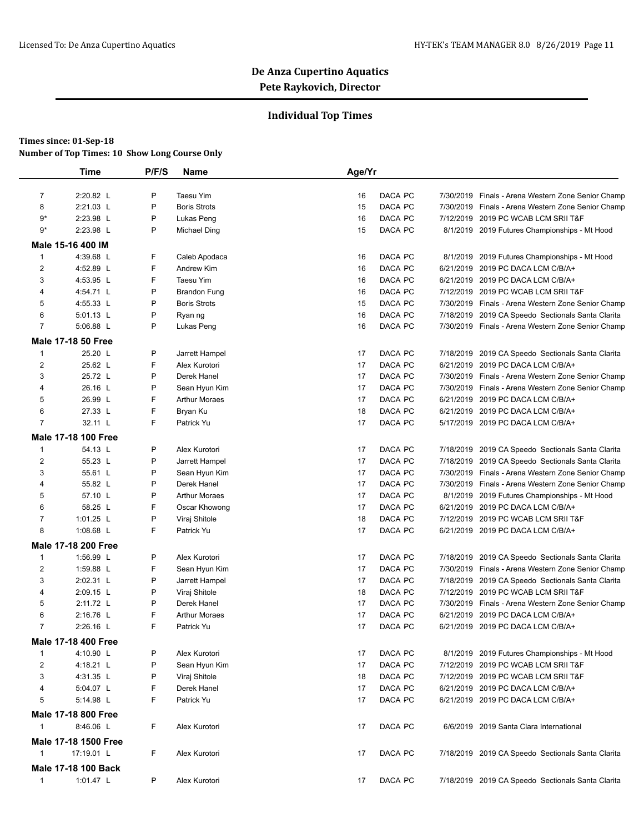## **Individual Top Times**

|                | <b>Time</b>                | P/F/S | Name                 | Age/Yr |         |           |                                                    |
|----------------|----------------------------|-------|----------------------|--------|---------|-----------|----------------------------------------------------|
| $\overline{7}$ | 2:20.82 L                  | P     | Taesu Yim            | 16     | DACA PC |           | 7/30/2019 Finals - Arena Western Zone Senior Champ |
| 8              | 2:21.03 L                  | P     | <b>Boris Strots</b>  | 15     | DACA PC |           | 7/30/2019 Finals - Arena Western Zone Senior Champ |
| 9*             | 2:23.98 L                  | P     | Lukas Peng           | 16     | DACA PC |           | 7/12/2019 2019 PC WCAB LCM SRII T&F                |
| 9*             | 2:23.98 L                  | P     | Michael Ding         | 15     | DACA PC |           | 8/1/2019 2019 Futures Championships - Mt Hood      |
|                | Male 15-16 400 IM          |       |                      |        |         |           |                                                    |
| $\mathbf{1}$   | 4:39.68 L                  | F     | Caleb Apodaca        | 16     | DACA PC | 8/1/2019  | 2019 Futures Championships - Mt Hood               |
| 2              | 4:52.89 L                  | F     | Andrew Kim           | 16     | DACA PC |           | 6/21/2019 2019 PC DACA LCM C/B/A+                  |
| 3              | 4:53.95 L                  | F     | Taesu Yim            | 16     | DACA PC |           | 6/21/2019 2019 PC DACA LCM C/B/A+                  |
| 4              | 4:54.71 L                  | P     | <b>Brandon Fung</b>  | 16     | DACA PC |           | 7/12/2019 2019 PC WCAB LCM SRII T&F                |
| 5              | 4:55.33 L                  | P     | <b>Boris Strots</b>  | 15     | DACA PC |           | 7/30/2019 Finals - Arena Western Zone Senior Champ |
| 6              | 5:01.13 L                  | P     | Ryan ng              | 16     | DACA PC |           | 7/18/2019 2019 CA Speedo Sectionals Santa Clarita  |
| $\overline{7}$ | 5:06.88 L                  | P     | Lukas Peng           | 16     | DACA PC |           | 7/30/2019 Finals - Arena Western Zone Senior Champ |
|                | <b>Male 17-18 50 Free</b>  |       |                      |        |         |           |                                                    |
| 1              | 25.20 L                    | P     | Jarrett Hampel       | 17     | DACA PC |           | 7/18/2019 2019 CA Speedo Sectionals Santa Clarita  |
| $\overline{c}$ | 25.62 L                    | F     | Alex Kurotori        | 17     | DACA PC | 6/21/2019 | 2019 PC DACA LCM C/B/A+                            |
| 3              | 25.72 L                    | P     | Derek Hanel          | 17     | DACA PC |           | 7/30/2019 Finals - Arena Western Zone Senior Champ |
| 4              | 26.16 L                    | P     | Sean Hyun Kim        | 17     | DACA PC |           | 7/30/2019 Finals - Arena Western Zone Senior Champ |
| 5              | 26.99 L                    | F     | <b>Arthur Moraes</b> | 17     | DACA PC |           | 6/21/2019 2019 PC DACA LCM C/B/A+                  |
| 6              | 27.33 L                    | F     | Bryan Ku             | 18     | DACA PC |           | 6/21/2019 2019 PC DACA LCM C/B/A+                  |
| $\overline{7}$ | 32.11 L                    | F     | Patrick Yu           | 17     | DACA PC |           | 5/17/2019 2019 PC DACA LCM C/B/A+                  |
|                | Male 17-18 100 Free        |       |                      |        |         |           |                                                    |
| 1              | 54.13 L                    | P     | Alex Kurotori        | 17     | DACA PC |           | 7/18/2019 2019 CA Speedo Sectionals Santa Clarita  |
| 2              | 55.23 L                    | P     | Jarrett Hampel       | 17     | DACA PC |           | 7/18/2019 2019 CA Speedo Sectionals Santa Clarita  |
| 3              | 55.61 L                    | P     | Sean Hyun Kim        | 17     | DACA PC |           | 7/30/2019 Finals - Arena Western Zone Senior Champ |
| 4              | 55.82 L                    | P     | Derek Hanel          | 17     | DACA PC |           | 7/30/2019 Finals - Arena Western Zone Senior Champ |
| 5              | 57.10 L                    | P     | <b>Arthur Moraes</b> | 17     | DACA PC |           | 8/1/2019 2019 Futures Championships - Mt Hood      |
| 6              | 58.25 L                    | F     | Oscar Khowong        | 17     | DACA PC |           | 6/21/2019 2019 PC DACA LCM C/B/A+                  |
| 7              | 1:01.25 L                  | P     | Viraj Shitole        | 18     | DACA PC | 7/12/2019 | 2019 PC WCAB LCM SRII T&F                          |
| 8              | 1:08.68 L                  | F     | Patrick Yu           | 17     | DACA PC |           | 6/21/2019 2019 PC DACA LCM C/B/A+                  |
|                | Male 17-18 200 Free        |       |                      |        |         |           |                                                    |
| 1              | 1:56.99 L                  | P     | Alex Kurotori        | 17     | DACA PC | 7/18/2019 | 2019 CA Speedo Sectionals Santa Clarita            |
| 2              | 1:59.88 L                  | F     | Sean Hyun Kim        | 17     | DACA PC |           | 7/30/2019 Finals - Arena Western Zone Senior Champ |
| 3              | 2:02.31 L                  | P     | Jarrett Hampel       | 17     | DACA PC |           | 7/18/2019 2019 CA Speedo Sectionals Santa Clarita  |
| 4              | 2:09.15 L                  | P     | Viraj Shitole        | 18     | DACA PC | 7/12/2019 | 2019 PC WCAB LCM SRII T&F                          |
| 5              | 2:11.72 L                  | P     | Derek Hanel          | 17     | DACA PC |           | 7/30/2019 Finals - Arena Western Zone Senior Champ |
| 6              | 2:16.76 L                  | F     | <b>Arthur Moraes</b> | 17     | DACA PC |           | 6/21/2019 2019 PC DACA LCM C/B/A+                  |
| $\overline{7}$ | 2:26.16 L                  | F     | Patrick Yu           | 17     | DACA PC |           | 6/21/2019 2019 PC DACA LCM C/B/A+                  |
|                | <b>Male 17-18 400 Free</b> |       |                      |        |         |           |                                                    |
| 1              | 4:10.90 L                  | P     | Alex Kurotori        | 17     | DACA PC |           | 8/1/2019 2019 Futures Championships - Mt Hood      |
| $\overline{2}$ | 4:18.21 L                  | P     | Sean Hyun Kim        | 17     | DACA PC |           | 7/12/2019 2019 PC WCAB LCM SRII T&F                |
| 3              | 4:31.35 L                  | P     | Viraj Shitole        | 18     | DACA PC |           | 7/12/2019 2019 PC WCAB LCM SRII T&F                |
| 4              | 5:04.07 L                  | F     | Derek Hanel          | 17     | DACA PC |           | 6/21/2019 2019 PC DACA LCM C/B/A+                  |
| 5              | 5:14.98 L                  | F     | Patrick Yu           | 17     | DACA PC |           | 6/21/2019 2019 PC DACA LCM C/B/A+                  |
|                | Male 17-18 800 Free        |       |                      |        |         |           |                                                    |
| $\mathbf{1}$   | 8:46.06 L                  | F     | Alex Kurotori        | 17     | DACA PC |           | 6/6/2019 2019 Santa Clara International            |
|                |                            |       |                      |        |         |           |                                                    |
|                | Male 17-18 1500 Free       |       |                      |        |         |           |                                                    |
| 1              | 17:19.01 L                 | F     | Alex Kurotori        | 17     | DACA PC |           | 7/18/2019 2019 CA Speedo Sectionals Santa Clarita  |
|                | Male 17-18 100 Back        |       |                      |        |         |           |                                                    |
| $\mathbf{1}$   | 1:01.47 L                  | P     | Alex Kurotori        | 17     | DACA PC |           | 7/18/2019 2019 CA Speedo Sectionals Santa Clarita  |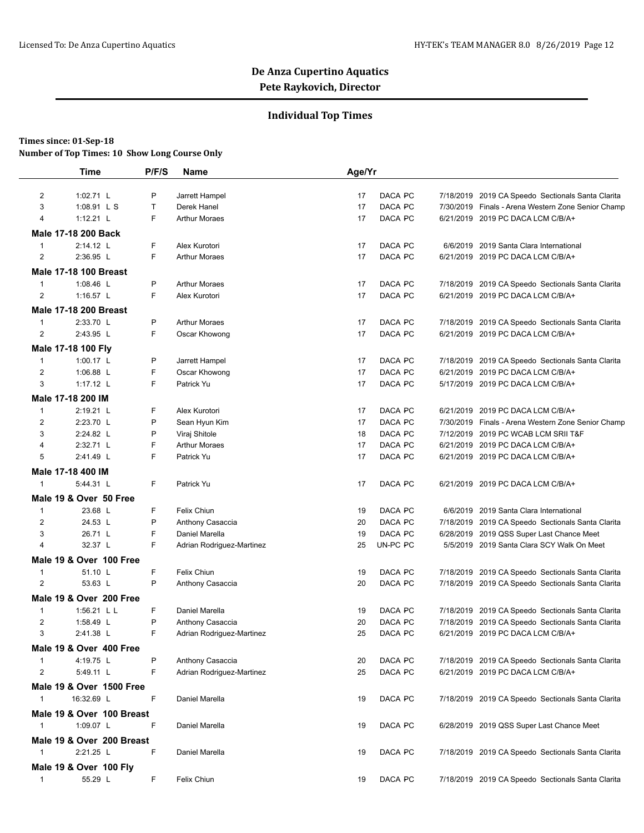## **Individual Top Times**

### **Times since: 01-Sep-18**

|                         | <b>Time</b>                  | P/F/S | Name                      | Age/Yr |          |                                                    |
|-------------------------|------------------------------|-------|---------------------------|--------|----------|----------------------------------------------------|
| $\overline{2}$          | 1:02.71 L                    | Ρ     | Jarrett Hampel            | 17     | DACA PC  | 7/18/2019 2019 CA Speedo Sectionals Santa Clarita  |
| 3                       | 1:08.91 L S                  | T     | Derek Hanel               | 17     | DACA PC  | 7/30/2019 Finals - Arena Western Zone Senior Champ |
| 4                       | $1:12.21$ L                  | F.    | <b>Arthur Moraes</b>      | 17     | DACA PC  | 6/21/2019 2019 PC DACA LCM C/B/A+                  |
|                         | Male 17-18 200 Back          |       |                           |        |          |                                                    |
| $\mathbf{1}$            | 2:14.12 L                    | F     | Alex Kurotori             | 17     | DACA PC  | 6/6/2019 2019 Santa Clara International            |
| $\overline{2}$          | 2:36.95 L                    | F     | <b>Arthur Moraes</b>      | 17     | DACA PC  | 6/21/2019 2019 PC DACA LCM C/B/A+                  |
|                         | <b>Male 17-18 100 Breast</b> |       |                           |        |          |                                                    |
| $\mathbf{1}$            | 1:08.46 L                    | P     | <b>Arthur Moraes</b>      | 17     | DACA PC  | 7/18/2019 2019 CA Speedo Sectionals Santa Clarita  |
| $\overline{2}$          | 1:16.57 L                    | F     | Alex Kurotori             | 17     | DACA PC  | 6/21/2019 2019 PC DACA LCM C/B/A+                  |
|                         | <b>Male 17-18 200 Breast</b> |       |                           |        |          |                                                    |
| $\mathbf{1}$            | 2:33.70 L                    | P     | <b>Arthur Moraes</b>      | 17     | DACA PC  | 7/18/2019 2019 CA Speedo Sectionals Santa Clarita  |
| $\overline{2}$          | 2:43.95 L                    | F.    | Oscar Khowong             | 17     | DACA PC  | 6/21/2019 2019 PC DACA LCM C/B/A+                  |
|                         | Male 17-18 100 Fly           |       |                           |        |          |                                                    |
| $\mathbf{1}$            | 1:00.17 L                    | Ρ     | Jarrett Hampel            | 17     | DACA PC  | 7/18/2019 2019 CA Speedo Sectionals Santa Clarita  |
| $\overline{2}$          | 1:06.88 L                    | F     | Oscar Khowong             | 17     | DACA PC  | 6/21/2019 2019 PC DACA LCM C/B/A+                  |
| 3                       | 1:17.12 L                    | F.    | Patrick Yu                | 17     | DACA PC  | 5/17/2019 2019 PC DACA LCM C/B/A+                  |
|                         | Male 17-18 200 IM            |       |                           |        |          |                                                    |
| $\mathbf{1}$            | 2:19.21 L                    | F     | Alex Kurotori             | 17     | DACA PC  | 6/21/2019 2019 PC DACA LCM C/B/A+                  |
| 2                       | 2:23.70 L                    | P     | Sean Hyun Kim             | 17     | DACA PC  | 7/30/2019 Finals - Arena Western Zone Senior Champ |
| 3                       | 2:24.82 L                    | P     | Viraj Shitole             | 18     | DACA PC  | 7/12/2019 2019 PC WCAB LCM SRII T&F                |
| $\overline{4}$          | 2:32.71 L                    | F     | <b>Arthur Moraes</b>      | 17     | DACA PC  | 6/21/2019 2019 PC DACA LCM C/B/A+                  |
| 5                       | 2:41.49 L                    | F     | Patrick Yu                | 17     | DACA PC  | 6/21/2019 2019 PC DACA LCM C/B/A+                  |
|                         | Male 17-18 400 IM            |       |                           |        |          |                                                    |
| $\mathbf{1}$            | 5:44.31 L                    | F     | Patrick Yu                | 17     | DACA PC  | 6/21/2019 2019 PC DACA LCM C/B/A+                  |
|                         | Male 19 & Over 50 Free       |       |                           |        |          |                                                    |
| $\mathbf{1}$            | 23.68 L                      | F.    | Felix Chiun               | 19     | DACA PC  | 6/6/2019 2019 Santa Clara International            |
| 2                       | 24.53 L                      | P     | Anthony Casaccia          | 20     | DACA PC  | 7/18/2019 2019 CA Speedo Sectionals Santa Clarita  |
| 3                       | 26.71 L                      | F     | Daniel Marella            | 19     | DACA PC  | 6/28/2019 2019 QSS Super Last Chance Meet          |
| $\overline{\mathbf{4}}$ | 32.37 L                      | F     | Adrian Rodriguez-Martinez | 25     | UN-PC PC | 5/5/2019 2019 Santa Clara SCY Walk On Meet         |
|                         | Male 19 & Over 100 Free      |       |                           |        |          |                                                    |
| $\mathbf{1}$            | 51.10 L                      | F     | Felix Chiun               | 19     | DACA PC  | 7/18/2019 2019 CA Speedo Sectionals Santa Clarita  |
| $\overline{2}$          | 53.63 L                      | P     | Anthony Casaccia          | 20     | DACA PC  | 7/18/2019 2019 CA Speedo Sectionals Santa Clarita  |
|                         | Male 19 & Over 200 Free      |       |                           |        |          |                                                    |
| $\mathbf{1}$            | 1:56.21 L L                  | F     | Daniel Marella            | 19     | DACA PC  | 7/18/2019 2019 CA Speedo Sectionals Santa Clarita  |
| $\overline{2}$          | 1:58.49 L                    | P     | Anthony Casaccia          | 20     | DACA PC  | 7/18/2019 2019 CA Speedo Sectionals Santa Clarita  |
| 3                       | 2:41.38 L                    |       | Adrian Rodriguez-Martinez | 25     | DACA PC  | 6/21/2019 2019 PC DACA LCM C/B/A+                  |
|                         | Male 19 & Over 400 Free      |       |                           |        |          |                                                    |
| $\mathbf{1}$            | 4:19.75 L                    | P     | Anthony Casaccia          | 20     | DACA PC  | 7/18/2019 2019 CA Speedo Sectionals Santa Clarita  |
| 2                       | 5:49.11 L                    | F     | Adrian Rodriguez-Martinez | 25     | DACA PC  | 6/21/2019 2019 PC DACA LCM C/B/A+                  |
|                         | Male 19 & Over 1500 Free     |       |                           |        |          |                                                    |
| $\mathbf{1}$            | 16:32.69 L                   | F     | Daniel Marella            | 19     | DACA PC  | 7/18/2019 2019 CA Speedo Sectionals Santa Clarita  |
|                         | Male 19 & Over 100 Breast    |       |                           |        |          |                                                    |
| $\mathbf{1}$            | 1:09.07 L                    | F     | Daniel Marella            | 19     | DACA PC  | 6/28/2019 2019 QSS Super Last Chance Meet          |
|                         | Male 19 & Over 200 Breast    |       |                           |        |          |                                                    |
| $\mathbf{1}$            | 2:21.25 L                    | F     | Daniel Marella            | 19     | DACA PC  | 7/18/2019 2019 CA Speedo Sectionals Santa Clarita  |
|                         | Male 19 & Over 100 Fly       |       |                           |        |          |                                                    |
| $\mathbf{1}$            | 55.29 L                      | F     | Felix Chiun               | 19     | DACA PC  | 7/18/2019 2019 CA Speedo Sectionals Santa Clarita  |
|                         |                              |       |                           |        |          |                                                    |